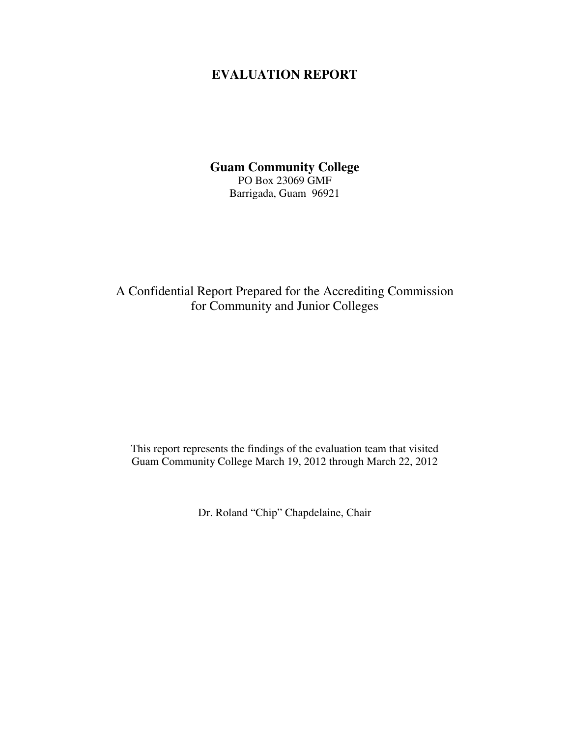## **EVALUATION REPORT**

**Guam Community College** PO Box 23069 GMF Barrigada, Guam 96921

A Confidential Report Prepared for the Accrediting Commission for Community and Junior Colleges

This report represents the findings of the evaluation team that visited Guam Community College March 19, 2012 through March 22, 2012

Dr. Roland "Chip" Chapdelaine, Chair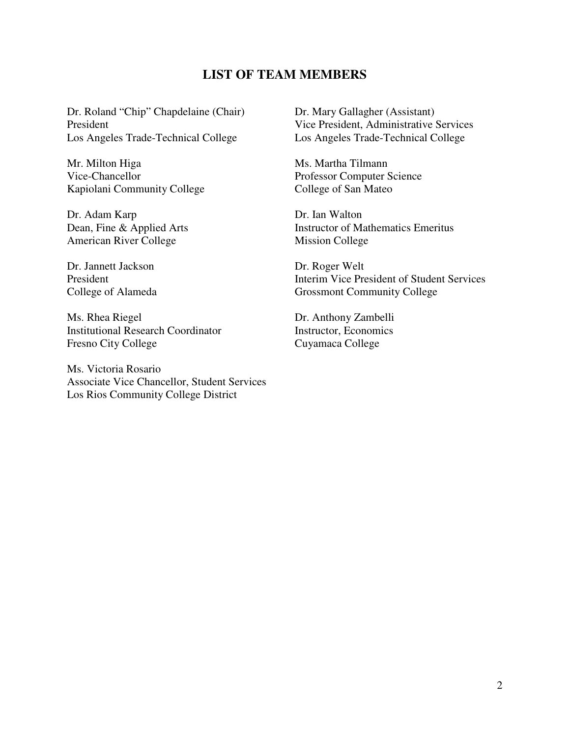## **LIST OF TEAM MEMBERS**

Dr. Roland "Chip" Chapdelaine (Chair) President Los Angeles Trade-Technical College

Mr. Milton Higa Vice-Chancellor Kapiolani Community College

Dr. Adam Karp Dean, Fine & Applied Arts American River College

Dr. Jannett Jackson President College of Alameda

Ms. Rhea Riegel Institutional Research Coordinator Fresno City College

Ms. Victoria Rosario Associate Vice Chancellor, Student Services Los Rios Community College District

Dr. Mary Gallagher (Assistant) Vice President, Administrative Services Los Angeles Trade-Technical College

Ms. Martha Tilmann Professor Computer Science College of San Mateo

Dr. Ian Walton Instructor of Mathematics Emeritus Mission College

Dr. Roger Welt Interim Vice President of Student Services Grossmont Community College

Dr. Anthony Zambelli Instructor, Economics Cuyamaca College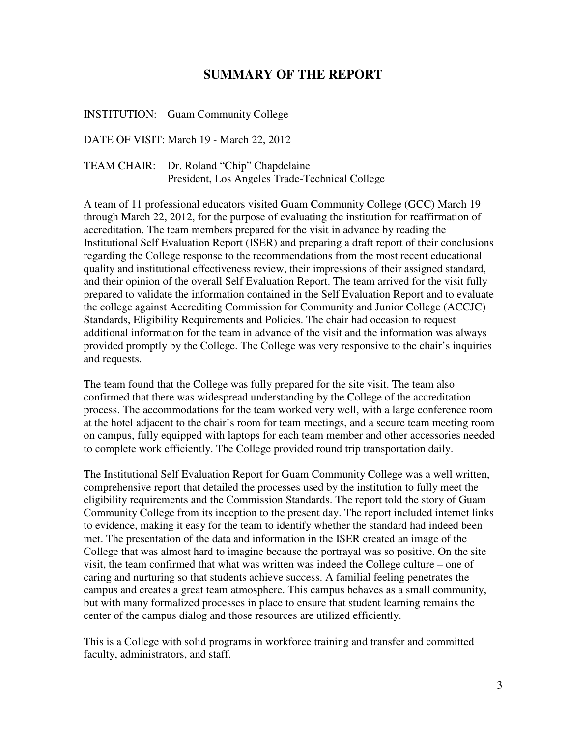## **SUMMARY OF THE REPORT**

INSTITUTION: Guam Community College

DATE OF VISIT: March 19 - March 22, 2012

TEAM CHAIR: Dr. Roland "Chip" Chapdelaine President, Los Angeles Trade-Technical College

A team of 11 professional educators visited Guam Community College (GCC) March 19 through March 22, 2012, for the purpose of evaluating the institution for reaffirmation of accreditation. The team members prepared for the visit in advance by reading the Institutional Self Evaluation Report (ISER) and preparing a draft report of their conclusions regarding the College response to the recommendations from the most recent educational quality and institutional effectiveness review, their impressions of their assigned standard, and their opinion of the overall Self Evaluation Report. The team arrived for the visit fully prepared to validate the information contained in the Self Evaluation Report and to evaluate the college against Accrediting Commission for Community and Junior College (ACCJC) Standards, Eligibility Requirements and Policies. The chair had occasion to request additional information for the team in advance of the visit and the information was always provided promptly by the College. The College was very responsive to the chair's inquiries and requests.

The team found that the College was fully prepared for the site visit. The team also confirmed that there was widespread understanding by the College of the accreditation process. The accommodations for the team worked very well, with a large conference room at the hotel adjacent to the chair's room for team meetings, and a secure team meeting room on campus, fully equipped with laptops for each team member and other accessories needed to complete work efficiently. The College provided round trip transportation daily.

The Institutional Self Evaluation Report for Guam Community College was a well written, comprehensive report that detailed the processes used by the institution to fully meet the eligibility requirements and the Commission Standards. The report told the story of Guam Community College from its inception to the present day. The report included internet links to evidence, making it easy for the team to identify whether the standard had indeed been met. The presentation of the data and information in the ISER created an image of the College that was almost hard to imagine because the portrayal was so positive. On the site visit, the team confirmed that what was written was indeed the College culture – one of caring and nurturing so that students achieve success. A familial feeling penetrates the campus and creates a great team atmosphere. This campus behaves as a small community, but with many formalized processes in place to ensure that student learning remains the center of the campus dialog and those resources are utilized efficiently.

This is a College with solid programs in workforce training and transfer and committed faculty, administrators, and staff.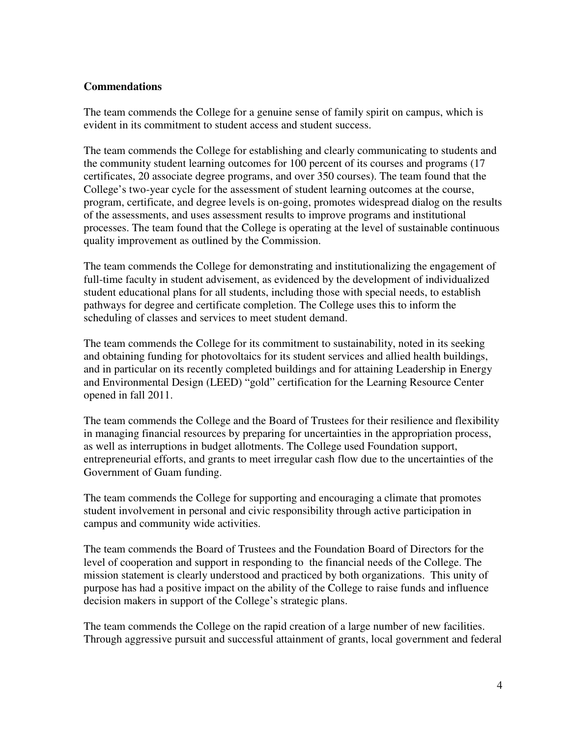### **Commendations**

The team commends the College for a genuine sense of family spirit on campus, which is evident in its commitment to student access and student success.

The team commends the College for establishing and clearly communicating to students and the community student learning outcomes for 100 percent of its courses and programs (17 certificates, 20 associate degree programs, and over 350 courses). The team found that the College's two-year cycle for the assessment of student learning outcomes at the course, program, certificate, and degree levels is on-going, promotes widespread dialog on the results of the assessments, and uses assessment results to improve programs and institutional processes. The team found that the College is operating at the level of sustainable continuous quality improvement as outlined by the Commission.

The team commends the College for demonstrating and institutionalizing the engagement of full-time faculty in student advisement, as evidenced by the development of individualized student educational plans for all students, including those with special needs, to establish pathways for degree and certificate completion. The College uses this to inform the scheduling of classes and services to meet student demand.

The team commends the College for its commitment to sustainability, noted in its seeking and obtaining funding for photovoltaics for its student services and allied health buildings, and in particular on its recently completed buildings and for attaining Leadership in Energy and Environmental Design (LEED) "gold" certification for the Learning Resource Center opened in fall 2011.

The team commends the College and the Board of Trustees for their resilience and flexibility in managing financial resources by preparing for uncertainties in the appropriation process, as well as interruptions in budget allotments. The College used Foundation support, entrepreneurial efforts, and grants to meet irregular cash flow due to the uncertainties of the Government of Guam funding.

The team commends the College for supporting and encouraging a climate that promotes student involvement in personal and civic responsibility through active participation in campus and community wide activities.

The team commends the Board of Trustees and the Foundation Board of Directors for the level of cooperation and support in responding to the financial needs of the College. The mission statement is clearly understood and practiced by both organizations. This unity of purpose has had a positive impact on the ability of the College to raise funds and influence decision makers in support of the College's strategic plans.

The team commends the College on the rapid creation of a large number of new facilities. Through aggressive pursuit and successful attainment of grants, local government and federal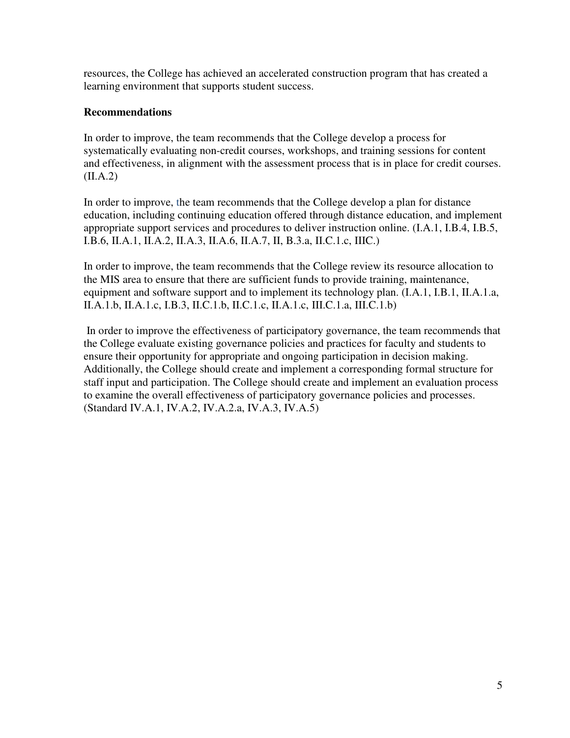resources, the College has achieved an accelerated construction program that has created a learning environment that supports student success.

## **Recommendations**

In order to improve, the team recommends that the College develop a process for systematically evaluating non-credit courses, workshops, and training sessions for content and effectiveness, in alignment with the assessment process that is in place for credit courses.  $(II.A.2)$ 

In order to improve, the team recommends that the College develop a plan for distance education, including continuing education offered through distance education, and implement appropriate support services and procedures to deliver instruction online. (I.A.1, I.B.4, I.B.5, I.B.6, II.A.1, II.A.2, II.A.3, II.A.6, II.A.7, II, B.3.a, II.C.1.c, IIIC.)

In order to improve, the team recommends that the College review its resource allocation to the MIS area to ensure that there are sufficient funds to provide training, maintenance, equipment and software support and to implement its technology plan. (I.A.1, I.B.1, II.A.1.a, II.A.1.b, II.A.1.c, I.B.3, II.C.1.b, II.C.1.c, II.A.1.c, III.C.1.a, III.C.1.b)

 In order to improve the effectiveness of participatory governance, the team recommends that the College evaluate existing governance policies and practices for faculty and students to ensure their opportunity for appropriate and ongoing participation in decision making. Additionally, the College should create and implement a corresponding formal structure for staff input and participation. The College should create and implement an evaluation process to examine the overall effectiveness of participatory governance policies and processes. (Standard IV.A.1, IV.A.2, IV.A.2.a, IV.A.3, IV.A.5)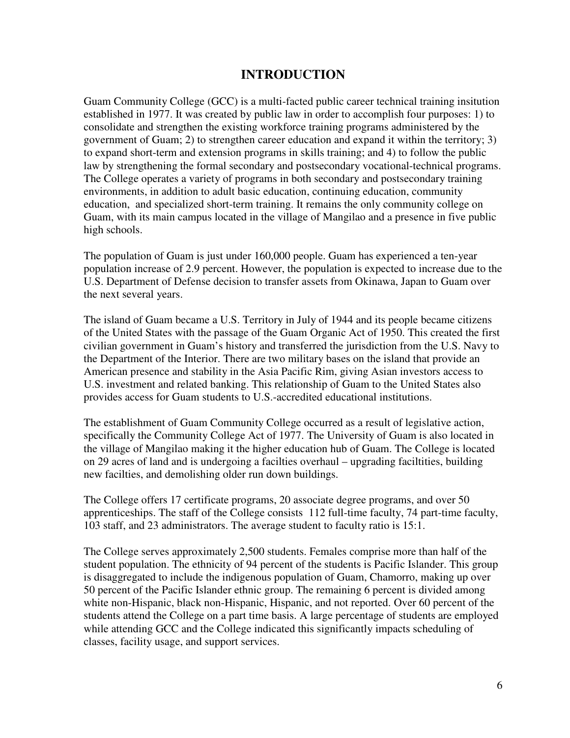## **INTRODUCTION**

Guam Community College (GCC) is a multi-facted public career technical training insitution established in 1977. It was created by public law in order to accomplish four purposes: 1) to consolidate and strengthen the existing workforce training programs administered by the government of Guam; 2) to strengthen career education and expand it within the territory; 3) to expand short-term and extension programs in skills training; and 4) to follow the public law by strengthening the formal secondary and postsecondary vocational-technical programs. The College operates a variety of programs in both secondary and postsecondary training environments, in addition to adult basic education, continuing education, community education, and specialized short-term training. It remains the only community college on Guam, with its main campus located in the village of Mangilao and a presence in five public high schools.

The population of Guam is just under 160,000 people. Guam has experienced a ten-year population increase of 2.9 percent. However, the population is expected to increase due to the U.S. Department of Defense decision to transfer assets from Okinawa, Japan to Guam over the next several years.

The island of Guam became a U.S. Territory in July of 1944 and its people became citizens of the United States with the passage of the Guam Organic Act of 1950. This created the first civilian government in Guam's history and transferred the jurisdiction from the U.S. Navy to the Department of the Interior. There are two military bases on the island that provide an American presence and stability in the Asia Pacific Rim, giving Asian investors access to U.S. investment and related banking. This relationship of Guam to the United States also provides access for Guam students to U.S.-accredited educational institutions.

The establishment of Guam Community College occurred as a result of legislative action, specifically the Community College Act of 1977. The University of Guam is also located in the village of Mangilao making it the higher education hub of Guam. The College is located on 29 acres of land and is undergoing a facilties overhaul – upgrading faciltities, building new facilties, and demolishing older run down buildings.

The College offers 17 certificate programs, 20 associate degree programs, and over 50 apprenticeships. The staff of the College consists 112 full-time faculty, 74 part-time faculty, 103 staff, and 23 administrators. The average student to faculty ratio is 15:1.

The College serves approximately 2,500 students. Females comprise more than half of the student population. The ethnicity of 94 percent of the students is Pacific Islander. This group is disaggregated to include the indigenous population of Guam, Chamorro, making up over 50 percent of the Pacific Islander ethnic group. The remaining 6 percent is divided among white non-Hispanic, black non-Hispanic, Hispanic, and not reported. Over 60 percent of the students attend the College on a part time basis. A large percentage of students are employed while attending GCC and the College indicated this significantly impacts scheduling of classes, facility usage, and support services.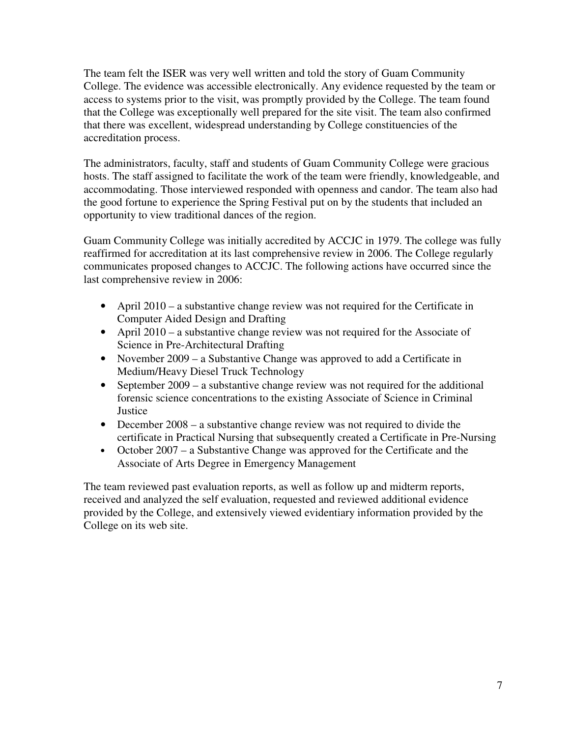The team felt the ISER was very well written and told the story of Guam Community College. The evidence was accessible electronically. Any evidence requested by the team or access to systems prior to the visit, was promptly provided by the College. The team found that the College was exceptionally well prepared for the site visit. The team also confirmed that there was excellent, widespread understanding by College constituencies of the accreditation process.

The administrators, faculty, staff and students of Guam Community College were gracious hosts. The staff assigned to facilitate the work of the team were friendly, knowledgeable, and accommodating. Those interviewed responded with openness and candor. The team also had the good fortune to experience the Spring Festival put on by the students that included an opportunity to view traditional dances of the region.

Guam Community College was initially accredited by ACCJC in 1979. The college was fully reaffirmed for accreditation at its last comprehensive review in 2006. The College regularly communicates proposed changes to ACCJC. The following actions have occurred since the last comprehensive review in 2006:

- April 2010 a substantive change review was not required for the Certificate in Computer Aided Design and Drafting
- April 2010 a substantive change review was not required for the Associate of Science in Pre-Architectural Drafting
- November 2009 a Substantive Change was approved to add a Certificate in Medium/Heavy Diesel Truck Technology
- September 2009 a substantive change review was not required for the additional forensic science concentrations to the existing Associate of Science in Criminal **Justice**
- December 2008 a substantive change review was not required to divide the certificate in Practical Nursing that subsequently created a Certificate in Pre-Nursing
- October 2007 a Substantive Change was approved for the Certificate and the Associate of Arts Degree in Emergency Management

The team reviewed past evaluation reports, as well as follow up and midterm reports, received and analyzed the self evaluation, requested and reviewed additional evidence provided by the College, and extensively viewed evidentiary information provided by the College on its web site.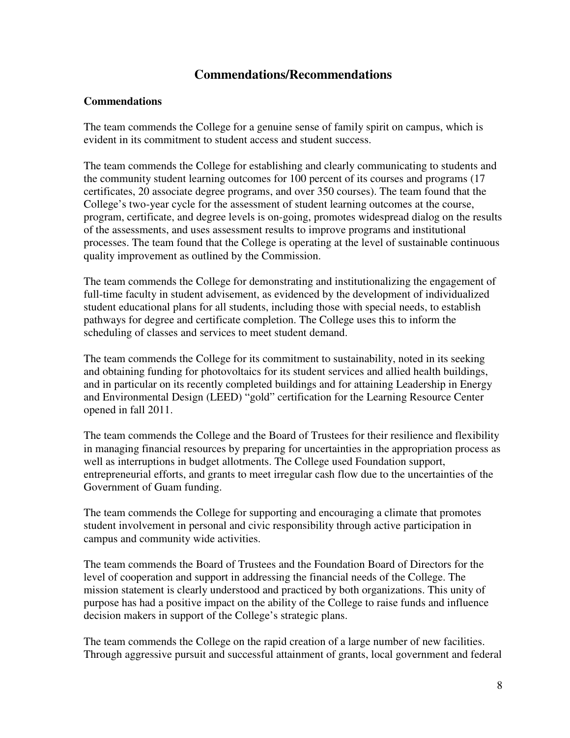## **Commendations/Recommendations**

#### **Commendations**

The team commends the College for a genuine sense of family spirit on campus, which is evident in its commitment to student access and student success.

The team commends the College for establishing and clearly communicating to students and the community student learning outcomes for 100 percent of its courses and programs (17 certificates, 20 associate degree programs, and over 350 courses). The team found that the College's two-year cycle for the assessment of student learning outcomes at the course, program, certificate, and degree levels is on-going, promotes widespread dialog on the results of the assessments, and uses assessment results to improve programs and institutional processes. The team found that the College is operating at the level of sustainable continuous quality improvement as outlined by the Commission.

The team commends the College for demonstrating and institutionalizing the engagement of full-time faculty in student advisement, as evidenced by the development of individualized student educational plans for all students, including those with special needs, to establish pathways for degree and certificate completion. The College uses this to inform the scheduling of classes and services to meet student demand.

The team commends the College for its commitment to sustainability, noted in its seeking and obtaining funding for photovoltaics for its student services and allied health buildings, and in particular on its recently completed buildings and for attaining Leadership in Energy and Environmental Design (LEED) "gold" certification for the Learning Resource Center opened in fall 2011.

The team commends the College and the Board of Trustees for their resilience and flexibility in managing financial resources by preparing for uncertainties in the appropriation process as well as interruptions in budget allotments. The College used Foundation support, entrepreneurial efforts, and grants to meet irregular cash flow due to the uncertainties of the Government of Guam funding.

The team commends the College for supporting and encouraging a climate that promotes student involvement in personal and civic responsibility through active participation in campus and community wide activities.

The team commends the Board of Trustees and the Foundation Board of Directors for the level of cooperation and support in addressing the financial needs of the College. The mission statement is clearly understood and practiced by both organizations. This unity of purpose has had a positive impact on the ability of the College to raise funds and influence decision makers in support of the College's strategic plans.

The team commends the College on the rapid creation of a large number of new facilities. Through aggressive pursuit and successful attainment of grants, local government and federal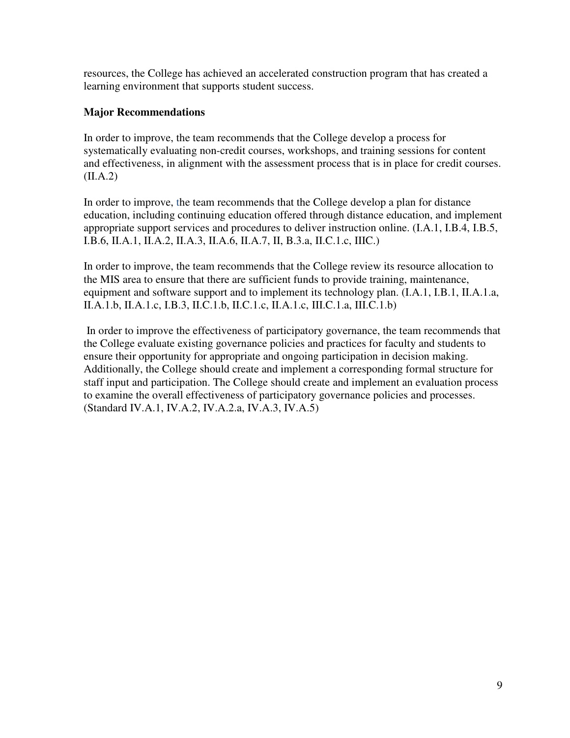resources, the College has achieved an accelerated construction program that has created a learning environment that supports student success.

## **Major Recommendations**

In order to improve, the team recommends that the College develop a process for systematically evaluating non-credit courses, workshops, and training sessions for content and effectiveness, in alignment with the assessment process that is in place for credit courses.  $(II.A.2)$ 

In order to improve, the team recommends that the College develop a plan for distance education, including continuing education offered through distance education, and implement appropriate support services and procedures to deliver instruction online. (I.A.1, I.B.4, I.B.5, I.B.6, II.A.1, II.A.2, II.A.3, II.A.6, II.A.7, II, B.3.a, II.C.1.c, IIIC.)

In order to improve, the team recommends that the College review its resource allocation to the MIS area to ensure that there are sufficient funds to provide training, maintenance, equipment and software support and to implement its technology plan. (I.A.1, I.B.1, II.A.1.a, II.A.1.b, II.A.1.c, I.B.3, II.C.1.b, II.C.1.c, II.A.1.c, III.C.1.a, III.C.1.b)

 In order to improve the effectiveness of participatory governance, the team recommends that the College evaluate existing governance policies and practices for faculty and students to ensure their opportunity for appropriate and ongoing participation in decision making. Additionally, the College should create and implement a corresponding formal structure for staff input and participation. The College should create and implement an evaluation process to examine the overall effectiveness of participatory governance policies and processes. (Standard IV.A.1, IV.A.2, IV.A.2.a, IV.A.3, IV.A.5)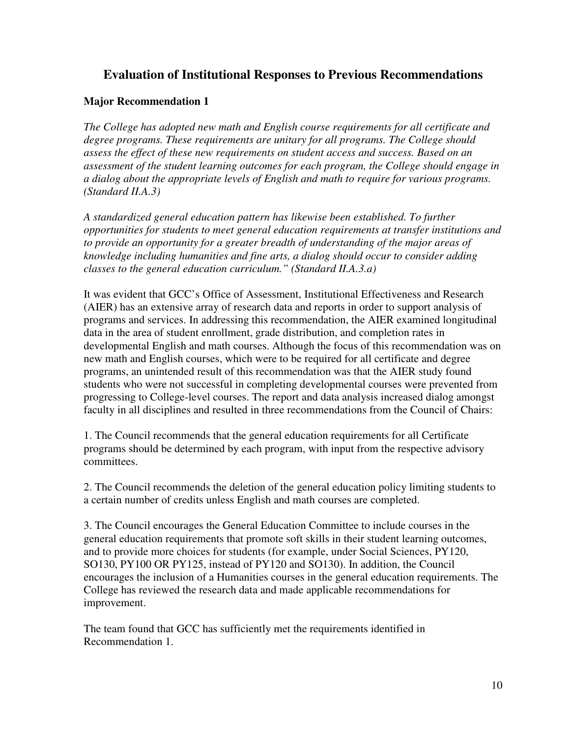## **Evaluation of Institutional Responses to Previous Recommendations**

### **Major Recommendation 1**

*The College has adopted new math and English course requirements for all certificate and degree programs. These requirements are unitary for all programs. The College should assess the effect of these new requirements on student access and success. Based on an assessment of the student learning outcomes for each program, the College should engage in a dialog about the appropriate levels of English and math to require for various programs. (Standard II.A.3)* 

*A standardized general education pattern has likewise been established. To further opportunities for students to meet general education requirements at transfer institutions and to provide an opportunity for a greater breadth of understanding of the major areas of knowledge including humanities and fine arts, a dialog should occur to consider adding classes to the general education curriculum." (Standard II.A.3.a)* 

It was evident that GCC's Office of Assessment, Institutional Effectiveness and Research (AIER) has an extensive array of research data and reports in order to support analysis of programs and services. In addressing this recommendation, the AIER examined longitudinal data in the area of student enrollment, grade distribution, and completion rates in developmental English and math courses. Although the focus of this recommendation was on new math and English courses, which were to be required for all certificate and degree programs, an unintended result of this recommendation was that the AIER study found students who were not successful in completing developmental courses were prevented from progressing to College-level courses. The report and data analysis increased dialog amongst faculty in all disciplines and resulted in three recommendations from the Council of Chairs:

1. The Council recommends that the general education requirements for all Certificate programs should be determined by each program, with input from the respective advisory committees.

2. The Council recommends the deletion of the general education policy limiting students to a certain number of credits unless English and math courses are completed.

3. The Council encourages the General Education Committee to include courses in the general education requirements that promote soft skills in their student learning outcomes, and to provide more choices for students (for example, under Social Sciences, PY120, SO130, PY100 OR PY125, instead of PY120 and SO130). In addition, the Council encourages the inclusion of a Humanities courses in the general education requirements. The College has reviewed the research data and made applicable recommendations for improvement.

The team found that GCC has sufficiently met the requirements identified in Recommendation 1.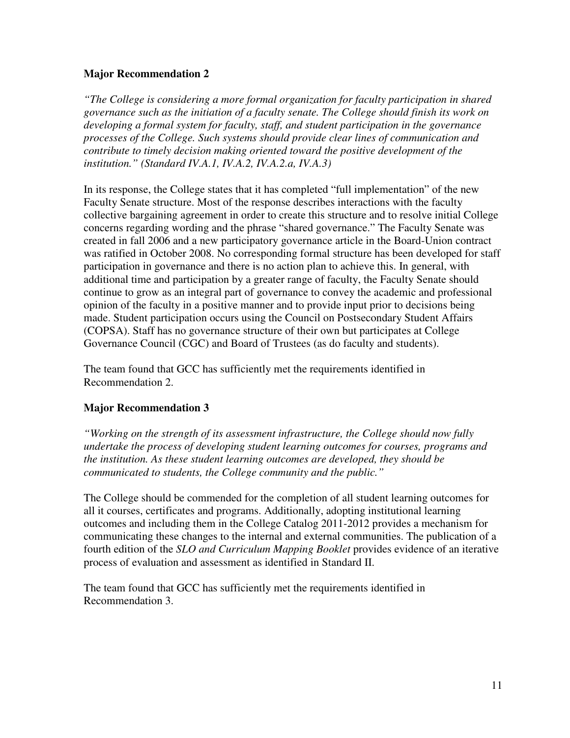## **Major Recommendation 2**

*"The College is considering a more formal organization for faculty participation in shared governance such as the initiation of a faculty senate. The College should finish its work on developing a formal system for faculty, staff, and student participation in the governance processes of the College. Such systems should provide clear lines of communication and contribute to timely decision making oriented toward the positive development of the institution." (Standard IV.A.1, IV.A.2, IV.A.2.a, IV.A.3)* 

In its response, the College states that it has completed "full implementation" of the new Faculty Senate structure. Most of the response describes interactions with the faculty collective bargaining agreement in order to create this structure and to resolve initial College concerns regarding wording and the phrase "shared governance." The Faculty Senate was created in fall 2006 and a new participatory governance article in the Board-Union contract was ratified in October 2008. No corresponding formal structure has been developed for staff participation in governance and there is no action plan to achieve this. In general, with additional time and participation by a greater range of faculty, the Faculty Senate should continue to grow as an integral part of governance to convey the academic and professional opinion of the faculty in a positive manner and to provide input prior to decisions being made. Student participation occurs using the Council on Postsecondary Student Affairs (COPSA). Staff has no governance structure of their own but participates at College Governance Council (CGC) and Board of Trustees (as do faculty and students).

The team found that GCC has sufficiently met the requirements identified in Recommendation 2.

## **Major Recommendation 3**

*"Working on the strength of its assessment infrastructure, the College should now fully undertake the process of developing student learning outcomes for courses, programs and the institution. As these student learning outcomes are developed, they should be communicated to students, the College community and the public."* 

The College should be commended for the completion of all student learning outcomes for all it courses, certificates and programs. Additionally, adopting institutional learning outcomes and including them in the College Catalog 2011-2012 provides a mechanism for communicating these changes to the internal and external communities. The publication of a fourth edition of the *SLO and Curriculum Mapping Booklet* provides evidence of an iterative process of evaluation and assessment as identified in Standard II.

The team found that GCC has sufficiently met the requirements identified in Recommendation 3.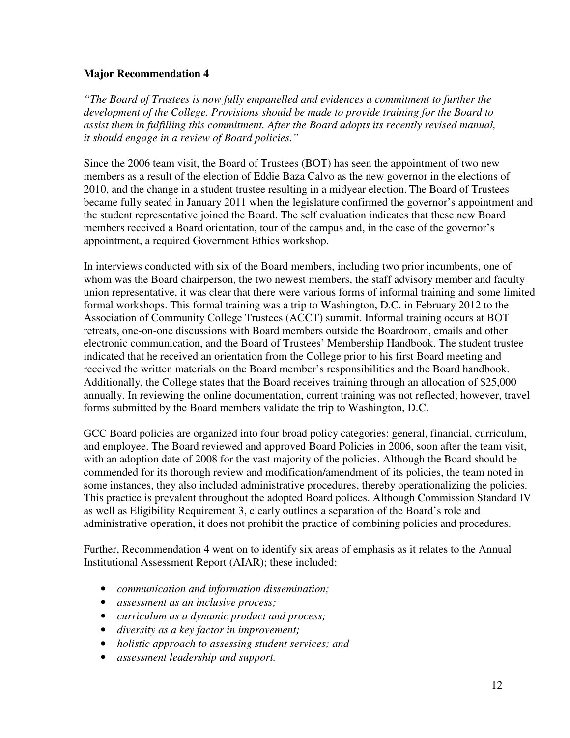### **Major Recommendation 4**

*"The Board of Trustees is now fully empanelled and evidences a commitment to further the development of the College. Provisions should be made to provide training for the Board to assist them in fulfilling this commitment. After the Board adopts its recently revised manual, it should engage in a review of Board policies."* 

Since the 2006 team visit, the Board of Trustees (BOT) has seen the appointment of two new members as a result of the election of Eddie Baza Calvo as the new governor in the elections of 2010, and the change in a student trustee resulting in a midyear election. The Board of Trustees became fully seated in January 2011 when the legislature confirmed the governor's appointment and the student representative joined the Board. The self evaluation indicates that these new Board members received a Board orientation, tour of the campus and, in the case of the governor's appointment, a required Government Ethics workshop.

In interviews conducted with six of the Board members, including two prior incumbents, one of whom was the Board chairperson, the two newest members, the staff advisory member and faculty union representative, it was clear that there were various forms of informal training and some limited formal workshops. This formal training was a trip to Washington, D.C. in February 2012 to the Association of Community College Trustees (ACCT) summit. Informal training occurs at BOT retreats, one-on-one discussions with Board members outside the Boardroom, emails and other electronic communication, and the Board of Trustees' Membership Handbook. The student trustee indicated that he received an orientation from the College prior to his first Board meeting and received the written materials on the Board member's responsibilities and the Board handbook. Additionally, the College states that the Board receives training through an allocation of \$25,000 annually. In reviewing the online documentation, current training was not reflected; however, travel forms submitted by the Board members validate the trip to Washington, D.C.

GCC Board policies are organized into four broad policy categories: general, financial, curriculum, and employee. The Board reviewed and approved Board Policies in 2006, soon after the team visit, with an adoption date of 2008 for the vast majority of the policies. Although the Board should be commended for its thorough review and modification/amendment of its policies, the team noted in some instances, they also included administrative procedures, thereby operationalizing the policies. This practice is prevalent throughout the adopted Board polices. Although Commission Standard IV as well as Eligibility Requirement 3, clearly outlines a separation of the Board's role and administrative operation, it does not prohibit the practice of combining policies and procedures.

Further, Recommendation 4 went on to identify six areas of emphasis as it relates to the Annual Institutional Assessment Report (AIAR); these included:

- *communication and information dissemination;*
- *assessment as an inclusive process;*
- *curriculum as a dynamic product and process;*
- *diversity as a key factor in improvement;*
- *holistic approach to assessing student services; and*
- *assessment leadership and support.*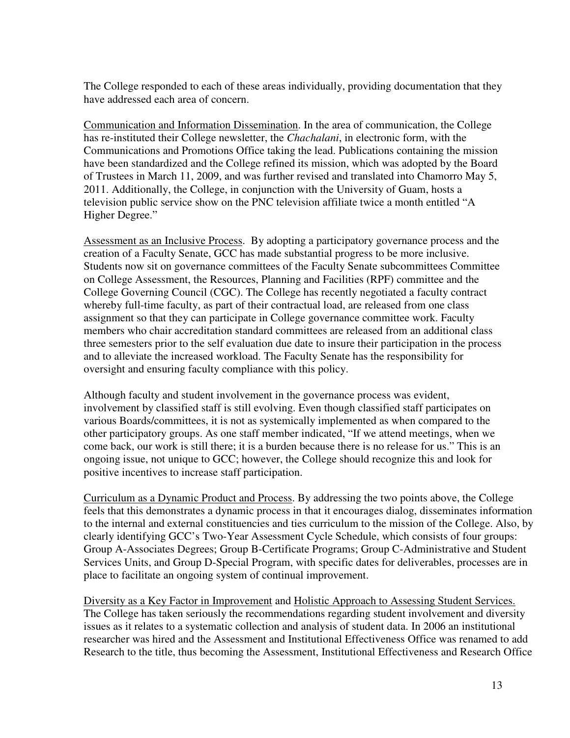The College responded to each of these areas individually, providing documentation that they have addressed each area of concern.

Communication and Information Dissemination. In the area of communication, the College has re-instituted their College newsletter, the *Chachalani*, in electronic form, with the Communications and Promotions Office taking the lead. Publications containing the mission have been standardized and the College refined its mission, which was adopted by the Board of Trustees in March 11, 2009, and was further revised and translated into Chamorro May 5, 2011. Additionally, the College, in conjunction with the University of Guam, hosts a television public service show on the PNC television affiliate twice a month entitled "A Higher Degree."

Assessment as an Inclusive Process. By adopting a participatory governance process and the creation of a Faculty Senate, GCC has made substantial progress to be more inclusive. Students now sit on governance committees of the Faculty Senate subcommittees Committee on College Assessment, the Resources, Planning and Facilities (RPF) committee and the College Governing Council (CGC). The College has recently negotiated a faculty contract whereby full-time faculty, as part of their contractual load, are released from one class assignment so that they can participate in College governance committee work. Faculty members who chair accreditation standard committees are released from an additional class three semesters prior to the self evaluation due date to insure their participation in the process and to alleviate the increased workload. The Faculty Senate has the responsibility for oversight and ensuring faculty compliance with this policy.

Although faculty and student involvement in the governance process was evident, involvement by classified staff is still evolving. Even though classified staff participates on various Boards/committees, it is not as systemically implemented as when compared to the other participatory groups. As one staff member indicated, "If we attend meetings, when we come back, our work is still there; it is a burden because there is no release for us." This is an ongoing issue, not unique to GCC; however, the College should recognize this and look for positive incentives to increase staff participation.

Curriculum as a Dynamic Product and Process. By addressing the two points above, the College feels that this demonstrates a dynamic process in that it encourages dialog, disseminates information to the internal and external constituencies and ties curriculum to the mission of the College. Also, by clearly identifying GCC's Two-Year Assessment Cycle Schedule, which consists of four groups: Group A-Associates Degrees; Group B-Certificate Programs; Group C-Administrative and Student Services Units, and Group D-Special Program, with specific dates for deliverables, processes are in place to facilitate an ongoing system of continual improvement.

Diversity as a Key Factor in Improvement and Holistic Approach to Assessing Student Services. The College has taken seriously the recommendations regarding student involvement and diversity issues as it relates to a systematic collection and analysis of student data. In 2006 an institutional researcher was hired and the Assessment and Institutional Effectiveness Office was renamed to add Research to the title, thus becoming the Assessment, Institutional Effectiveness and Research Office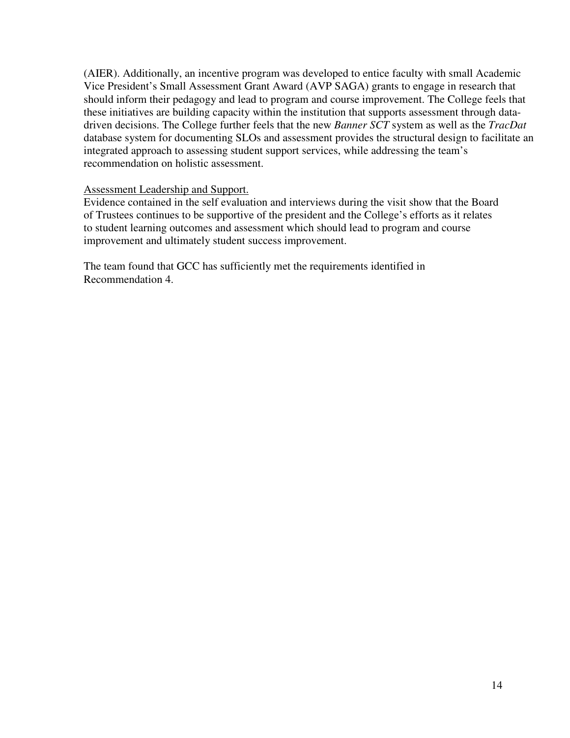(AIER). Additionally, an incentive program was developed to entice faculty with small Academic Vice President's Small Assessment Grant Award (AVP SAGA) grants to engage in research that should inform their pedagogy and lead to program and course improvement. The College feels that these initiatives are building capacity within the institution that supports assessment through datadriven decisions. The College further feels that the new *Banner SCT* system as well as the *TracDat* database system for documenting SLOs and assessment provides the structural design to facilitate an integrated approach to assessing student support services, while addressing the team's recommendation on holistic assessment.

### Assessment Leadership and Support.

Evidence contained in the self evaluation and interviews during the visit show that the Board of Trustees continues to be supportive of the president and the College's efforts as it relates to student learning outcomes and assessment which should lead to program and course improvement and ultimately student success improvement.

The team found that GCC has sufficiently met the requirements identified in Recommendation 4.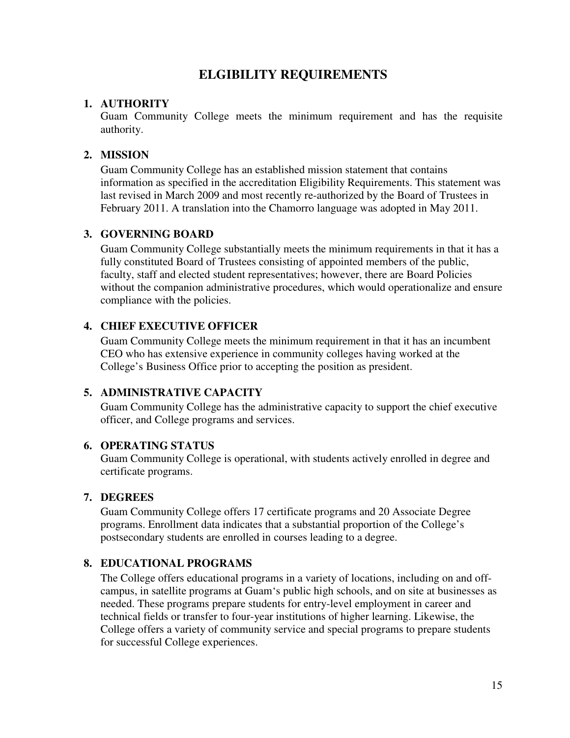## **ELGIBILITY REQUIREMENTS**

### **1. AUTHORITY**

Guam Community College meets the minimum requirement and has the requisite authority.

### **2. MISSION**

Guam Community College has an established mission statement that contains information as specified in the accreditation Eligibility Requirements. This statement was last revised in March 2009 and most recently re-authorized by the Board of Trustees in February 2011. A translation into the Chamorro language was adopted in May 2011.

#### **3. GOVERNING BOARD**

Guam Community College substantially meets the minimum requirements in that it has a fully constituted Board of Trustees consisting of appointed members of the public, faculty, staff and elected student representatives; however, there are Board Policies without the companion administrative procedures, which would operationalize and ensure compliance with the policies.

### **4. CHIEF EXECUTIVE OFFICER**

Guam Community College meets the minimum requirement in that it has an incumbent CEO who has extensive experience in community colleges having worked at the College's Business Office prior to accepting the position as president.

## **5. ADMINISTRATIVE CAPACITY**

Guam Community College has the administrative capacity to support the chief executive officer, and College programs and services.

#### **6. OPERATING STATUS**

Guam Community College is operational, with students actively enrolled in degree and certificate programs.

#### **7. DEGREES**

Guam Community College offers 17 certificate programs and 20 Associate Degree programs. Enrollment data indicates that a substantial proportion of the College's postsecondary students are enrolled in courses leading to a degree.

## **8. EDUCATIONAL PROGRAMS**

The College offers educational programs in a variety of locations, including on and offcampus, in satellite programs at Guam's public high schools, and on site at businesses as needed. These programs prepare students for entry-level employment in career and technical fields or transfer to four-year institutions of higher learning. Likewise, the College offers a variety of community service and special programs to prepare students for successful College experiences.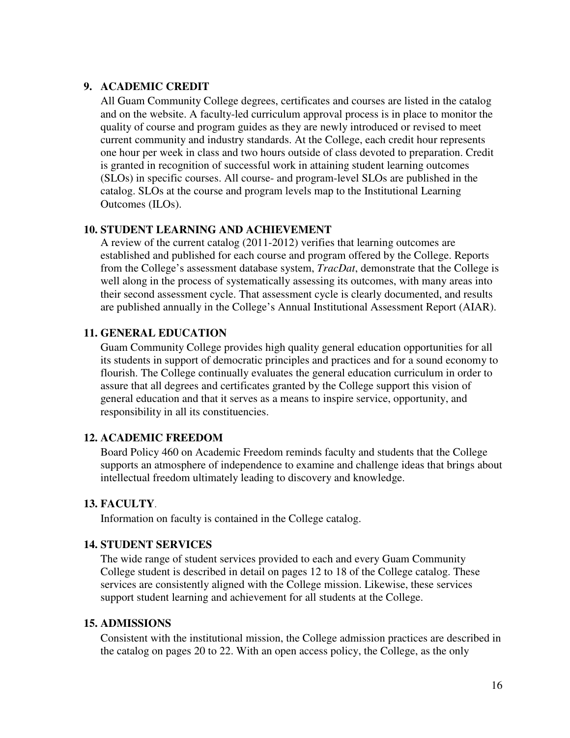### **9. ACADEMIC CREDIT**

All Guam Community College degrees, certificates and courses are listed in the catalog and on the website. A faculty-led curriculum approval process is in place to monitor the quality of course and program guides as they are newly introduced or revised to meet current community and industry standards. At the College, each credit hour represents one hour per week in class and two hours outside of class devoted to preparation. Credit is granted in recognition of successful work in attaining student learning outcomes (SLOs) in specific courses. All course- and program-level SLOs are published in the catalog. SLOs at the course and program levels map to the Institutional Learning Outcomes (ILOs).

#### **10. STUDENT LEARNING AND ACHIEVEMENT**

A review of the current catalog (2011-2012) verifies that learning outcomes are established and published for each course and program offered by the College. Reports from the College's assessment database system, *TracDat*, demonstrate that the College is well along in the process of systematically assessing its outcomes, with many areas into their second assessment cycle. That assessment cycle is clearly documented, and results are published annually in the College's Annual Institutional Assessment Report (AIAR).

### **11. GENERAL EDUCATION**

Guam Community College provides high quality general education opportunities for all its students in support of democratic principles and practices and for a sound economy to flourish. The College continually evaluates the general education curriculum in order to assure that all degrees and certificates granted by the College support this vision of general education and that it serves as a means to inspire service, opportunity, and responsibility in all its constituencies.

#### **12. ACADEMIC FREEDOM**

Board Policy 460 on Academic Freedom reminds faculty and students that the College supports an atmosphere of independence to examine and challenge ideas that brings about intellectual freedom ultimately leading to discovery and knowledge.

#### **13. FACULTY**.

Information on faculty is contained in the College catalog.

### **14. STUDENT SERVICES**

The wide range of student services provided to each and every Guam Community College student is described in detail on pages 12 to 18 of the College catalog. These services are consistently aligned with the College mission. Likewise, these services support student learning and achievement for all students at the College.

#### **15. ADMISSIONS**

Consistent with the institutional mission, the College admission practices are described in the catalog on pages 20 to 22. With an open access policy, the College, as the only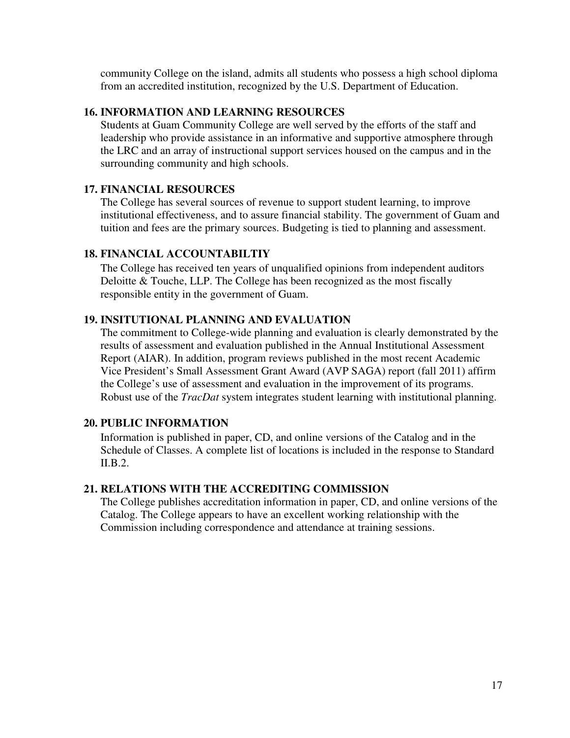community College on the island, admits all students who possess a high school diploma from an accredited institution, recognized by the U.S. Department of Education.

### **16. INFORMATION AND LEARNING RESOURCES**

Students at Guam Community College are well served by the efforts of the staff and leadership who provide assistance in an informative and supportive atmosphere through the LRC and an array of instructional support services housed on the campus and in the surrounding community and high schools.

## **17. FINANCIAL RESOURCES**

The College has several sources of revenue to support student learning, to improve institutional effectiveness, and to assure financial stability. The government of Guam and tuition and fees are the primary sources. Budgeting is tied to planning and assessment.

### **18. FINANCIAL ACCOUNTABILTIY**

The College has received ten years of unqualified opinions from independent auditors Deloitte & Touche, LLP. The College has been recognized as the most fiscally responsible entity in the government of Guam.

### **19. INSITUTIONAL PLANNING AND EVALUATION**

The commitment to College-wide planning and evaluation is clearly demonstrated by the results of assessment and evaluation published in the Annual Institutional Assessment Report (AIAR). In addition, program reviews published in the most recent Academic Vice President's Small Assessment Grant Award (AVP SAGA) report (fall 2011) affirm the College's use of assessment and evaluation in the improvement of its programs. Robust use of the *TracDat* system integrates student learning with institutional planning.

## **20. PUBLIC INFORMATION**

Information is published in paper, CD, and online versions of the Catalog and in the Schedule of Classes. A complete list of locations is included in the response to Standard II.B.2.

## **21. RELATIONS WITH THE ACCREDITING COMMISSION**

The College publishes accreditation information in paper, CD, and online versions of the Catalog. The College appears to have an excellent working relationship with the Commission including correspondence and attendance at training sessions.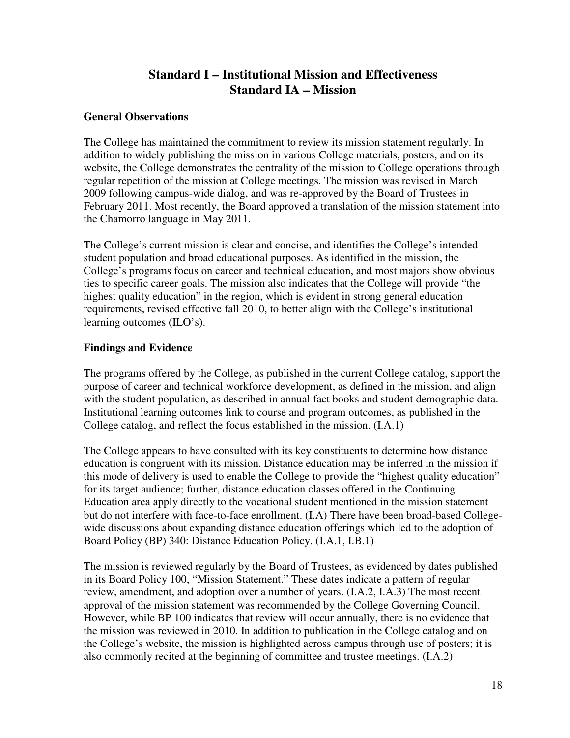# **Standard I – Institutional Mission and Effectiveness Standard IA – Mission**

### **General Observations**

The College has maintained the commitment to review its mission statement regularly. In addition to widely publishing the mission in various College materials, posters, and on its website, the College demonstrates the centrality of the mission to College operations through regular repetition of the mission at College meetings. The mission was revised in March 2009 following campus-wide dialog, and was re-approved by the Board of Trustees in February 2011. Most recently, the Board approved a translation of the mission statement into the Chamorro language in May 2011.

The College's current mission is clear and concise, and identifies the College's intended student population and broad educational purposes. As identified in the mission, the College's programs focus on career and technical education, and most majors show obvious ties to specific career goals. The mission also indicates that the College will provide "the highest quality education" in the region, which is evident in strong general education requirements, revised effective fall 2010, to better align with the College's institutional learning outcomes (ILO's).

## **Findings and Evidence**

The programs offered by the College, as published in the current College catalog, support the purpose of career and technical workforce development, as defined in the mission, and align with the student population, as described in annual fact books and student demographic data. Institutional learning outcomes link to course and program outcomes, as published in the College catalog, and reflect the focus established in the mission. (I.A.1)

The College appears to have consulted with its key constituents to determine how distance education is congruent with its mission. Distance education may be inferred in the mission if this mode of delivery is used to enable the College to provide the "highest quality education" for its target audience; further, distance education classes offered in the Continuing Education area apply directly to the vocational student mentioned in the mission statement but do not interfere with face-to-face enrollment. (I.A) There have been broad-based Collegewide discussions about expanding distance education offerings which led to the adoption of Board Policy (BP) 340: Distance Education Policy. (I.A.1, I.B.1)

The mission is reviewed regularly by the Board of Trustees, as evidenced by dates published in its Board Policy 100, "Mission Statement." These dates indicate a pattern of regular review, amendment, and adoption over a number of years. (I.A.2, I.A.3) The most recent approval of the mission statement was recommended by the College Governing Council. However, while BP 100 indicates that review will occur annually, there is no evidence that the mission was reviewed in 2010. In addition to publication in the College catalog and on the College's website, the mission is highlighted across campus through use of posters; it is also commonly recited at the beginning of committee and trustee meetings. (I.A.2)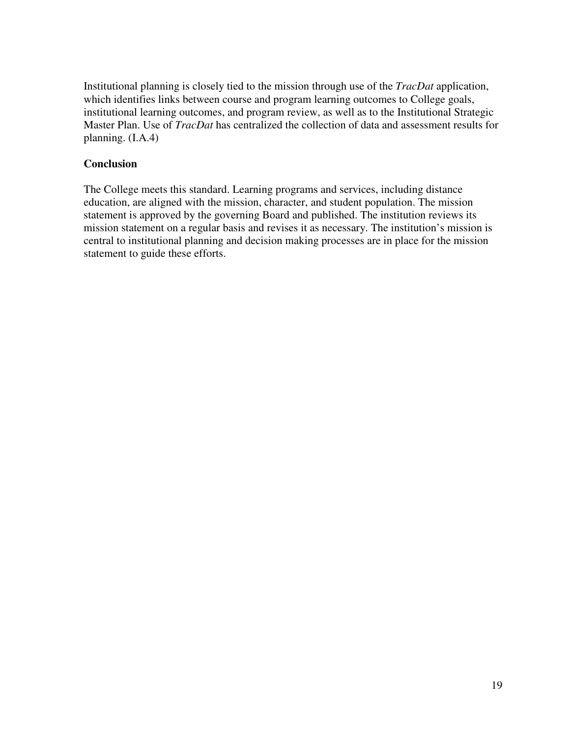Institutional planning is closely tied to the mission through use of the *TracDat* application, which identifies links between course and program learning outcomes to College goals, institutional learning outcomes, and program review, as well as to the Institutional Strategic Master Plan. Use of *TracDat* has centralized the collection of data and assessment results for planning. (I.A.4)

### **Conclusion**

The College meets this standard. Learning programs and services, including distance education, are aligned with the mission, character, and student population. The mission statement is approved by the governing Board and published. The institution reviews its mission statement on a regular basis and revises it as necessary. The institution's mission is central to institutional planning and decision making processes are in place for the mission statement to guide these efforts.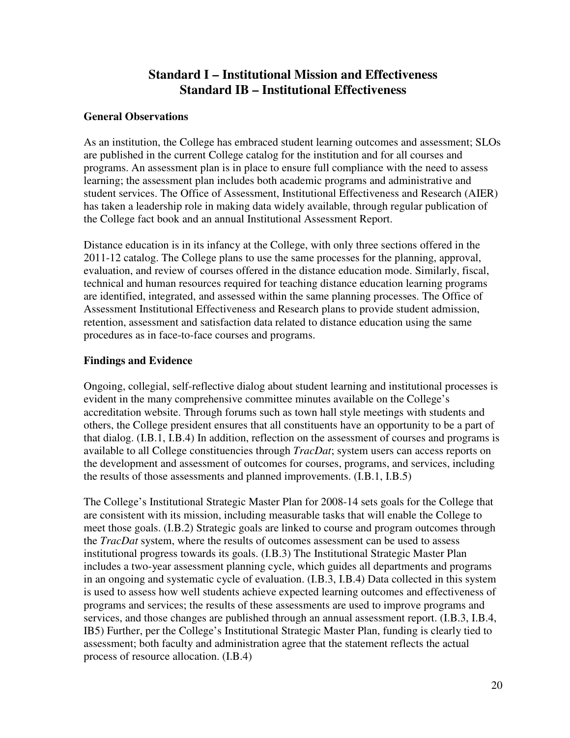## **Standard I – Institutional Mission and Effectiveness Standard IB – Institutional Effectiveness**

### **General Observations**

As an institution, the College has embraced student learning outcomes and assessment; SLOs are published in the current College catalog for the institution and for all courses and programs. An assessment plan is in place to ensure full compliance with the need to assess learning; the assessment plan includes both academic programs and administrative and student services. The Office of Assessment, Institutional Effectiveness and Research (AIER) has taken a leadership role in making data widely available, through regular publication of the College fact book and an annual Institutional Assessment Report.

Distance education is in its infancy at the College, with only three sections offered in the 2011-12 catalog. The College plans to use the same processes for the planning, approval, evaluation, and review of courses offered in the distance education mode. Similarly, fiscal, technical and human resources required for teaching distance education learning programs are identified, integrated, and assessed within the same planning processes. The Office of Assessment Institutional Effectiveness and Research plans to provide student admission, retention, assessment and satisfaction data related to distance education using the same procedures as in face-to-face courses and programs.

### **Findings and Evidence**

Ongoing, collegial, self-reflective dialog about student learning and institutional processes is evident in the many comprehensive committee minutes available on the College's accreditation website. Through forums such as town hall style meetings with students and others, the College president ensures that all constituents have an opportunity to be a part of that dialog. (I.B.1, I.B.4) In addition, reflection on the assessment of courses and programs is available to all College constituencies through *TracDat*; system users can access reports on the development and assessment of outcomes for courses, programs, and services, including the results of those assessments and planned improvements. (I.B.1, I.B.5)

The College's Institutional Strategic Master Plan for 2008-14 sets goals for the College that are consistent with its mission, including measurable tasks that will enable the College to meet those goals. (I.B.2) Strategic goals are linked to course and program outcomes through the *TracDat* system, where the results of outcomes assessment can be used to assess institutional progress towards its goals. (I.B.3) The Institutional Strategic Master Plan includes a two-year assessment planning cycle, which guides all departments and programs in an ongoing and systematic cycle of evaluation. (I.B.3, I.B.4) Data collected in this system is used to assess how well students achieve expected learning outcomes and effectiveness of programs and services; the results of these assessments are used to improve programs and services, and those changes are published through an annual assessment report. (I.B.3, I.B.4, IB5) Further, per the College's Institutional Strategic Master Plan, funding is clearly tied to assessment; both faculty and administration agree that the statement reflects the actual process of resource allocation. (I.B.4)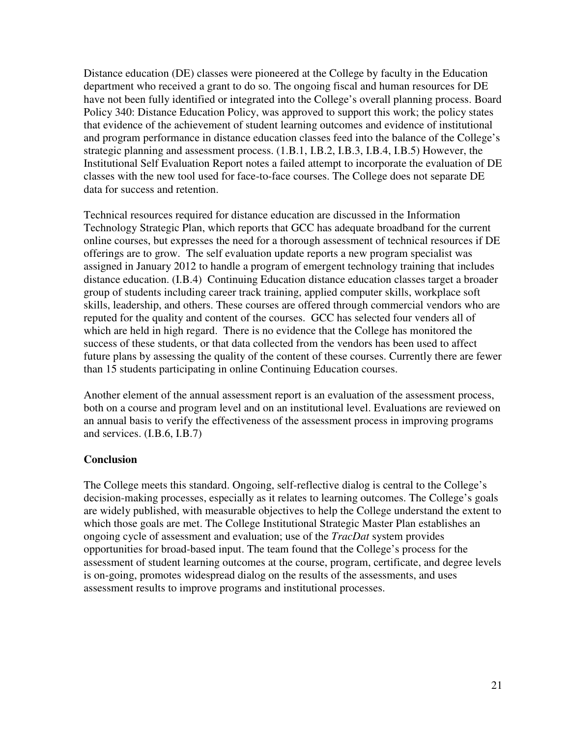Distance education (DE) classes were pioneered at the College by faculty in the Education department who received a grant to do so. The ongoing fiscal and human resources for DE have not been fully identified or integrated into the College's overall planning process. Board Policy 340: Distance Education Policy, was approved to support this work; the policy states that evidence of the achievement of student learning outcomes and evidence of institutional and program performance in distance education classes feed into the balance of the College's strategic planning and assessment process. (1.B.1, I.B.2, I.B.3, I.B.4, I.B.5) However, the Institutional Self Evaluation Report notes a failed attempt to incorporate the evaluation of DE classes with the new tool used for face-to-face courses. The College does not separate DE data for success and retention.

Technical resources required for distance education are discussed in the Information Technology Strategic Plan, which reports that GCC has adequate broadband for the current online courses, but expresses the need for a thorough assessment of technical resources if DE offerings are to grow. The self evaluation update reports a new program specialist was assigned in January 2012 to handle a program of emergent technology training that includes distance education. (I.B.4) Continuing Education distance education classes target a broader group of students including career track training, applied computer skills, workplace soft skills, leadership, and others. These courses are offered through commercial vendors who are reputed for the quality and content of the courses. GCC has selected four venders all of which are held in high regard. There is no evidence that the College has monitored the success of these students, or that data collected from the vendors has been used to affect future plans by assessing the quality of the content of these courses. Currently there are fewer than 15 students participating in online Continuing Education courses.

Another element of the annual assessment report is an evaluation of the assessment process, both on a course and program level and on an institutional level. Evaluations are reviewed on an annual basis to verify the effectiveness of the assessment process in improving programs and services. (I.B.6, I.B.7)

## **Conclusion**

The College meets this standard. Ongoing, self-reflective dialog is central to the College's decision-making processes, especially as it relates to learning outcomes. The College's goals are widely published, with measurable objectives to help the College understand the extent to which those goals are met. The College Institutional Strategic Master Plan establishes an ongoing cycle of assessment and evaluation; use of the *TracDat* system provides opportunities for broad-based input. The team found that the College's process for the assessment of student learning outcomes at the course, program, certificate, and degree levels is on-going, promotes widespread dialog on the results of the assessments, and uses assessment results to improve programs and institutional processes.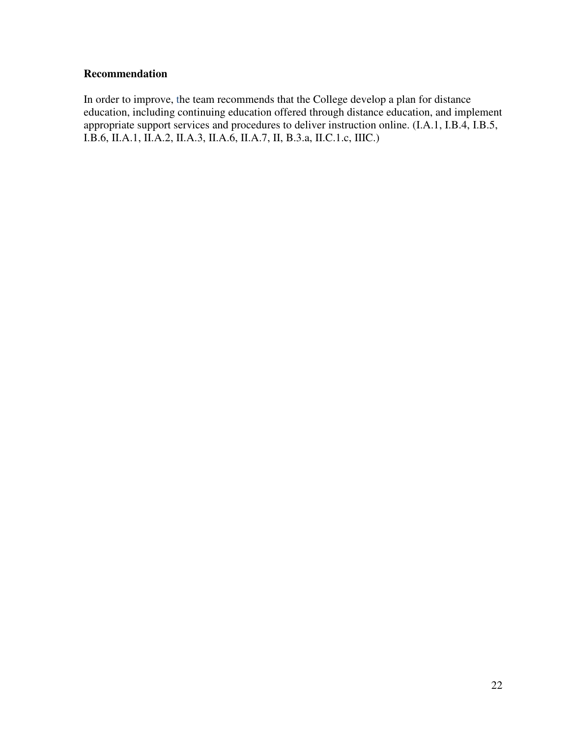## **Recommendation**

In order to improve, the team recommends that the College develop a plan for distance education, including continuing education offered through distance education, and implement appropriate support services and procedures to deliver instruction online. (I.A.1, I.B.4, I.B.5, I.B.6, II.A.1, II.A.2, II.A.3, II.A.6, II.A.7, II, B.3.a, II.C.1.c, IIIC.)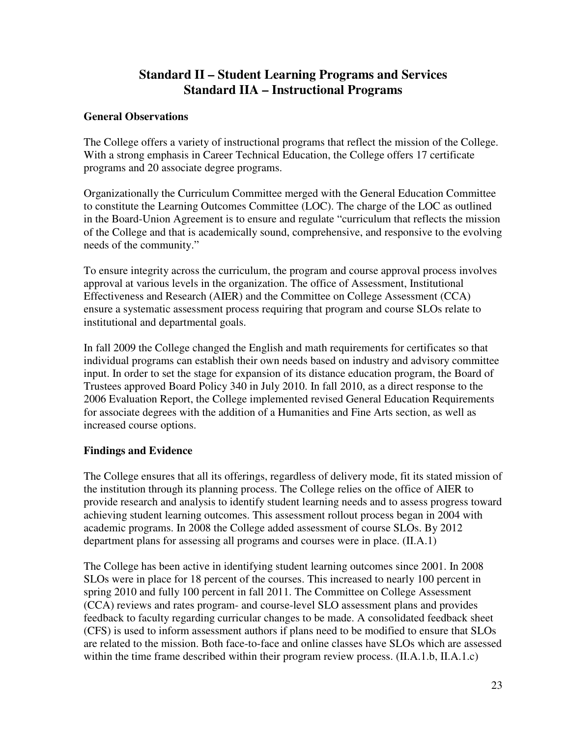# **Standard II – Student Learning Programs and Services Standard IIA – Instructional Programs**

### **General Observations**

The College offers a variety of instructional programs that reflect the mission of the College. With a strong emphasis in Career Technical Education, the College offers 17 certificate programs and 20 associate degree programs.

Organizationally the Curriculum Committee merged with the General Education Committee to constitute the Learning Outcomes Committee (LOC). The charge of the LOC as outlined in the Board-Union Agreement is to ensure and regulate "curriculum that reflects the mission of the College and that is academically sound, comprehensive, and responsive to the evolving needs of the community."

To ensure integrity across the curriculum, the program and course approval process involves approval at various levels in the organization. The office of Assessment, Institutional Effectiveness and Research (AIER) and the Committee on College Assessment (CCA) ensure a systematic assessment process requiring that program and course SLOs relate to institutional and departmental goals.

In fall 2009 the College changed the English and math requirements for certificates so that individual programs can establish their own needs based on industry and advisory committee input. In order to set the stage for expansion of its distance education program, the Board of Trustees approved Board Policy 340 in July 2010. In fall 2010, as a direct response to the 2006 Evaluation Report, the College implemented revised General Education Requirements for associate degrees with the addition of a Humanities and Fine Arts section, as well as increased course options.

## **Findings and Evidence**

The College ensures that all its offerings, regardless of delivery mode, fit its stated mission of the institution through its planning process. The College relies on the office of AIER to provide research and analysis to identify student learning needs and to assess progress toward achieving student learning outcomes. This assessment rollout process began in 2004 with academic programs. In 2008 the College added assessment of course SLOs. By 2012 department plans for assessing all programs and courses were in place. (II.A.1)

The College has been active in identifying student learning outcomes since 2001. In 2008 SLOs were in place for 18 percent of the courses. This increased to nearly 100 percent in spring 2010 and fully 100 percent in fall 2011. The Committee on College Assessment (CCA) reviews and rates program- and course-level SLO assessment plans and provides feedback to faculty regarding curricular changes to be made. A consolidated feedback sheet (CFS) is used to inform assessment authors if plans need to be modified to ensure that SLOs are related to the mission. Both face-to-face and online classes have SLOs which are assessed within the time frame described within their program review process. (II.A.1.b, II.A.1.c)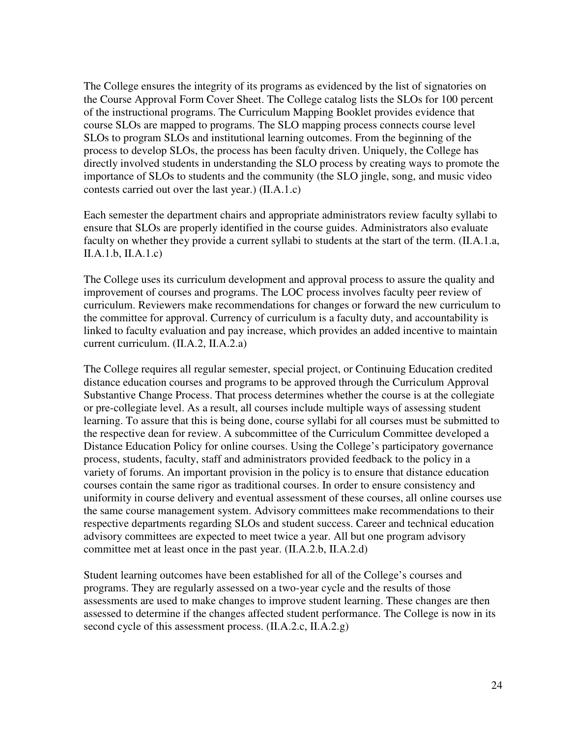The College ensures the integrity of its programs as evidenced by the list of signatories on the Course Approval Form Cover Sheet. The College catalog lists the SLOs for 100 percent of the instructional programs. The Curriculum Mapping Booklet provides evidence that course SLOs are mapped to programs. The SLO mapping process connects course level SLOs to program SLOs and institutional learning outcomes. From the beginning of the process to develop SLOs, the process has been faculty driven. Uniquely, the College has directly involved students in understanding the SLO process by creating ways to promote the importance of SLOs to students and the community (the SLO jingle, song, and music video contests carried out over the last year.) (II.A.1.c)

Each semester the department chairs and appropriate administrators review faculty syllabi to ensure that SLOs are properly identified in the course guides. Administrators also evaluate faculty on whether they provide a current syllabi to students at the start of the term. (II.A.1.a, II.A.1.b, II.A.1.c)

The College uses its curriculum development and approval process to assure the quality and improvement of courses and programs. The LOC process involves faculty peer review of curriculum. Reviewers make recommendations for changes or forward the new curriculum to the committee for approval. Currency of curriculum is a faculty duty, and accountability is linked to faculty evaluation and pay increase, which provides an added incentive to maintain current curriculum. (II.A.2, II.A.2.a)

The College requires all regular semester, special project, or Continuing Education credited distance education courses and programs to be approved through the Curriculum Approval Substantive Change Process. That process determines whether the course is at the collegiate or pre-collegiate level. As a result, all courses include multiple ways of assessing student learning. To assure that this is being done, course syllabi for all courses must be submitted to the respective dean for review. A subcommittee of the Curriculum Committee developed a Distance Education Policy for online courses. Using the College's participatory governance process, students, faculty, staff and administrators provided feedback to the policy in a variety of forums. An important provision in the policy is to ensure that distance education courses contain the same rigor as traditional courses. In order to ensure consistency and uniformity in course delivery and eventual assessment of these courses, all online courses use the same course management system. Advisory committees make recommendations to their respective departments regarding SLOs and student success. Career and technical education advisory committees are expected to meet twice a year. All but one program advisory committee met at least once in the past year. (II.A.2.b, II.A.2.d)

Student learning outcomes have been established for all of the College's courses and programs. They are regularly assessed on a two-year cycle and the results of those assessments are used to make changes to improve student learning. These changes are then assessed to determine if the changes affected student performance. The College is now in its second cycle of this assessment process. (II.A.2.c, II.A.2.g)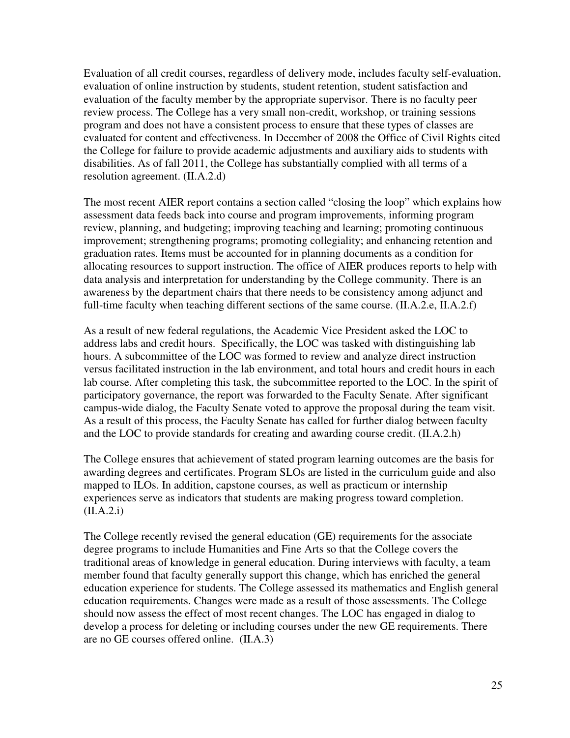Evaluation of all credit courses, regardless of delivery mode, includes faculty self-evaluation, evaluation of online instruction by students, student retention, student satisfaction and evaluation of the faculty member by the appropriate supervisor. There is no faculty peer review process. The College has a very small non-credit, workshop, or training sessions program and does not have a consistent process to ensure that these types of classes are evaluated for content and effectiveness. In December of 2008 the Office of Civil Rights cited the College for failure to provide academic adjustments and auxiliary aids to students with disabilities. As of fall 2011, the College has substantially complied with all terms of a resolution agreement. (II.A.2.d)

The most recent AIER report contains a section called "closing the loop" which explains how assessment data feeds back into course and program improvements, informing program review, planning, and budgeting; improving teaching and learning; promoting continuous improvement; strengthening programs; promoting collegiality; and enhancing retention and graduation rates. Items must be accounted for in planning documents as a condition for allocating resources to support instruction. The office of AIER produces reports to help with data analysis and interpretation for understanding by the College community. There is an awareness by the department chairs that there needs to be consistency among adjunct and full-time faculty when teaching different sections of the same course. (II.A.2.e, II.A.2.f)

As a result of new federal regulations, the Academic Vice President asked the LOC to address labs and credit hours. Specifically, the LOC was tasked with distinguishing lab hours. A subcommittee of the LOC was formed to review and analyze direct instruction versus facilitated instruction in the lab environment, and total hours and credit hours in each lab course. After completing this task, the subcommittee reported to the LOC. In the spirit of participatory governance, the report was forwarded to the Faculty Senate. After significant campus-wide dialog, the Faculty Senate voted to approve the proposal during the team visit. As a result of this process, the Faculty Senate has called for further dialog between faculty and the LOC to provide standards for creating and awarding course credit. (II.A.2.h)

The College ensures that achievement of stated program learning outcomes are the basis for awarding degrees and certificates. Program SLOs are listed in the curriculum guide and also mapped to ILOs. In addition, capstone courses, as well as practicum or internship experiences serve as indicators that students are making progress toward completion.  $(II.A.2.i)$ 

The College recently revised the general education (GE) requirements for the associate degree programs to include Humanities and Fine Arts so that the College covers the traditional areas of knowledge in general education. During interviews with faculty, a team member found that faculty generally support this change, which has enriched the general education experience for students. The College assessed its mathematics and English general education requirements. Changes were made as a result of those assessments. The College should now assess the effect of most recent changes. The LOC has engaged in dialog to develop a process for deleting or including courses under the new GE requirements. There are no GE courses offered online. (II.A.3)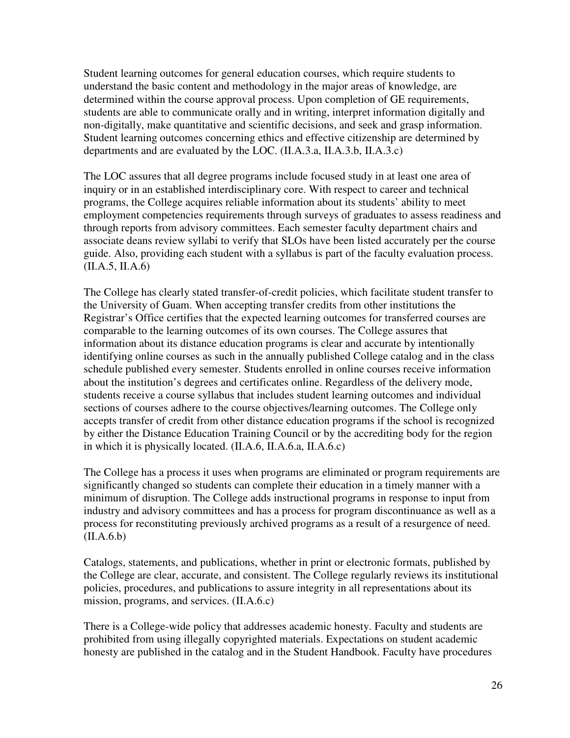Student learning outcomes for general education courses, which require students to understand the basic content and methodology in the major areas of knowledge, are determined within the course approval process. Upon completion of GE requirements, students are able to communicate orally and in writing, interpret information digitally and non-digitally, make quantitative and scientific decisions, and seek and grasp information. Student learning outcomes concerning ethics and effective citizenship are determined by departments and are evaluated by the LOC. (II.A.3.a, II.A.3.b, II.A.3.c)

The LOC assures that all degree programs include focused study in at least one area of inquiry or in an established interdisciplinary core. With respect to career and technical programs, the College acquires reliable information about its students' ability to meet employment competencies requirements through surveys of graduates to assess readiness and through reports from advisory committees. Each semester faculty department chairs and associate deans review syllabi to verify that SLOs have been listed accurately per the course guide. Also, providing each student with a syllabus is part of the faculty evaluation process. (II.A.5, II.A.6)

The College has clearly stated transfer-of-credit policies, which facilitate student transfer to the University of Guam. When accepting transfer credits from other institutions the Registrar's Office certifies that the expected learning outcomes for transferred courses are comparable to the learning outcomes of its own courses. The College assures that information about its distance education programs is clear and accurate by intentionally identifying online courses as such in the annually published College catalog and in the class schedule published every semester. Students enrolled in online courses receive information about the institution's degrees and certificates online. Regardless of the delivery mode, students receive a course syllabus that includes student learning outcomes and individual sections of courses adhere to the course objectives/learning outcomes. The College only accepts transfer of credit from other distance education programs if the school is recognized by either the Distance Education Training Council or by the accrediting body for the region in which it is physically located. (II.A.6, II.A.6.a, II.A.6.c)

The College has a process it uses when programs are eliminated or program requirements are significantly changed so students can complete their education in a timely manner with a minimum of disruption. The College adds instructional programs in response to input from industry and advisory committees and has a process for program discontinuance as well as a process for reconstituting previously archived programs as a result of a resurgence of need.  $(II.A.6.b)$ 

Catalogs, statements, and publications, whether in print or electronic formats, published by the College are clear, accurate, and consistent. The College regularly reviews its institutional policies, procedures, and publications to assure integrity in all representations about its mission, programs, and services. (II.A.6.c)

There is a College-wide policy that addresses academic honesty. Faculty and students are prohibited from using illegally copyrighted materials. Expectations on student academic honesty are published in the catalog and in the Student Handbook. Faculty have procedures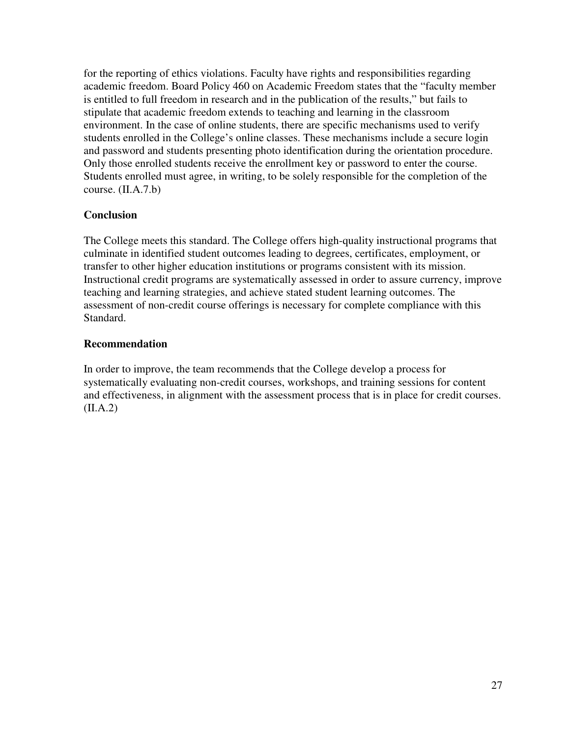for the reporting of ethics violations. Faculty have rights and responsibilities regarding academic freedom. Board Policy 460 on Academic Freedom states that the "faculty member is entitled to full freedom in research and in the publication of the results," but fails to stipulate that academic freedom extends to teaching and learning in the classroom environment. In the case of online students, there are specific mechanisms used to verify students enrolled in the College's online classes. These mechanisms include a secure login and password and students presenting photo identification during the orientation procedure. Only those enrolled students receive the enrollment key or password to enter the course. Students enrolled must agree, in writing, to be solely responsible for the completion of the course. (II.A.7.b)

## **Conclusion**

The College meets this standard. The College offers high-quality instructional programs that culminate in identified student outcomes leading to degrees, certificates, employment, or transfer to other higher education institutions or programs consistent with its mission. Instructional credit programs are systematically assessed in order to assure currency, improve teaching and learning strategies, and achieve stated student learning outcomes. The assessment of non-credit course offerings is necessary for complete compliance with this Standard.

## **Recommendation**

In order to improve, the team recommends that the College develop a process for systematically evaluating non-credit courses, workshops, and training sessions for content and effectiveness, in alignment with the assessment process that is in place for credit courses.  $(II.A.2)$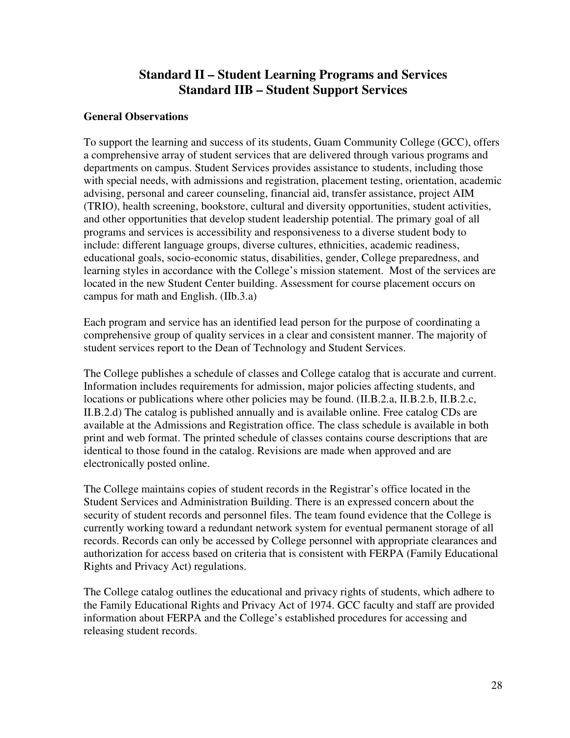## **Standard II – Student Learning Programs and Services Standard IIB – Student Support Services**

### **General Observations**

To support the learning and success of its students, Guam Community College (GCC), offers a comprehensive array of student services that are delivered through various programs and departments on campus. Student Services provides assistance to students, including those with special needs, with admissions and registration, placement testing, orientation, academic advising, personal and career counseling, financial aid, transfer assistance, project AIM (TRIO), health screening, bookstore, cultural and diversity opportunities, student activities, and other opportunities that develop student leadership potential. The primary goal of all programs and services is accessibility and responsiveness to a diverse student body to include: different language groups, diverse cultures, ethnicities, academic readiness, educational goals, socio-economic status, disabilities, gender, College preparedness, and learning styles in accordance with the College's mission statement. Most of the services are located in the new Student Center building. Assessment for course placement occurs on campus for math and English. (IIb.3.a)

Each program and service has an identified lead person for the purpose of coordinating a comprehensive group of quality services in a clear and consistent manner. The majority of student services report to the Dean of Technology and Student Services.

The College publishes a schedule of classes and College catalog that is accurate and current. Information includes requirements for admission, major policies affecting students, and locations or publications where other policies may be found. (II.B.2.a, II.B.2.b, II.B.2.c, II.B.2.d) The catalog is published annually and is available online. Free catalog CDs are available at the Admissions and Registration office. The class schedule is available in both print and web format. The printed schedule of classes contains course descriptions that are identical to those found in the catalog. Revisions are made when approved and are electronically posted online.

The College maintains copies of student records in the Registrar's office located in the Student Services and Administration Building. There is an expressed concern about the security of student records and personnel files. The team found evidence that the College is currently working toward a redundant network system for eventual permanent storage of all records. Records can only be accessed by College personnel with appropriate clearances and authorization for access based on criteria that is consistent with FERPA (Family Educational Rights and Privacy Act) regulations.

The College catalog outlines the educational and privacy rights of students, which adhere to the Family Educational Rights and Privacy Act of 1974. GCC faculty and staff are provided information about FERPA and the College's established procedures for accessing and releasing student records.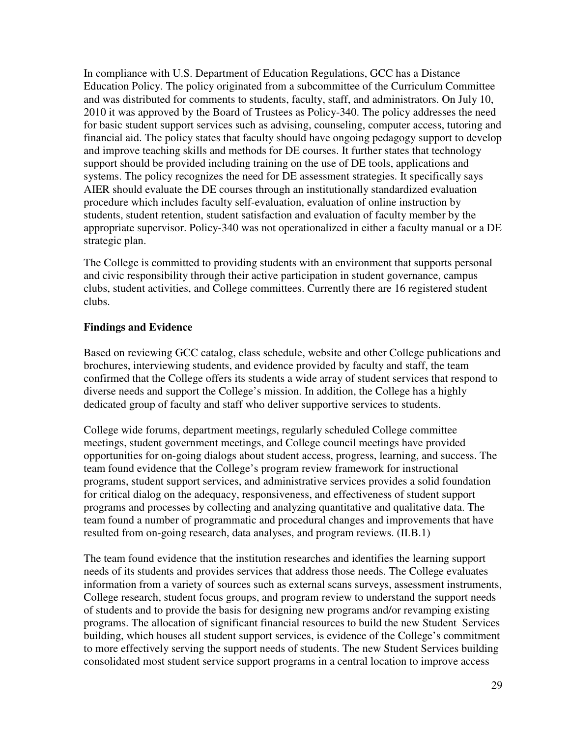In compliance with U.S. Department of Education Regulations, GCC has a Distance Education Policy. The policy originated from a subcommittee of the Curriculum Committee and was distributed for comments to students, faculty, staff, and administrators. On July 10, 2010 it was approved by the Board of Trustees as Policy-340. The policy addresses the need for basic student support services such as advising, counseling, computer access, tutoring and financial aid. The policy states that faculty should have ongoing pedagogy support to develop and improve teaching skills and methods for DE courses. It further states that technology support should be provided including training on the use of DE tools, applications and systems. The policy recognizes the need for DE assessment strategies. It specifically says AIER should evaluate the DE courses through an institutionally standardized evaluation procedure which includes faculty self-evaluation, evaluation of online instruction by students, student retention, student satisfaction and evaluation of faculty member by the appropriate supervisor. Policy-340 was not operationalized in either a faculty manual or a DE strategic plan.

The College is committed to providing students with an environment that supports personal and civic responsibility through their active participation in student governance, campus clubs, student activities, and College committees. Currently there are 16 registered student clubs.

## **Findings and Evidence**

Based on reviewing GCC catalog, class schedule, website and other College publications and brochures, interviewing students, and evidence provided by faculty and staff, the team confirmed that the College offers its students a wide array of student services that respond to diverse needs and support the College's mission. In addition, the College has a highly dedicated group of faculty and staff who deliver supportive services to students.

College wide forums, department meetings, regularly scheduled College committee meetings, student government meetings, and College council meetings have provided opportunities for on-going dialogs about student access, progress, learning, and success. The team found evidence that the College's program review framework for instructional programs, student support services, and administrative services provides a solid foundation for critical dialog on the adequacy, responsiveness, and effectiveness of student support programs and processes by collecting and analyzing quantitative and qualitative data. The team found a number of programmatic and procedural changes and improvements that have resulted from on-going research, data analyses, and program reviews. (II.B.1)

The team found evidence that the institution researches and identifies the learning support needs of its students and provides services that address those needs. The College evaluates information from a variety of sources such as external scans surveys, assessment instruments, College research, student focus groups, and program review to understand the support needs of students and to provide the basis for designing new programs and/or revamping existing programs. The allocation of significant financial resources to build the new Student Services building, which houses all student support services, is evidence of the College's commitment to more effectively serving the support needs of students. The new Student Services building consolidated most student service support programs in a central location to improve access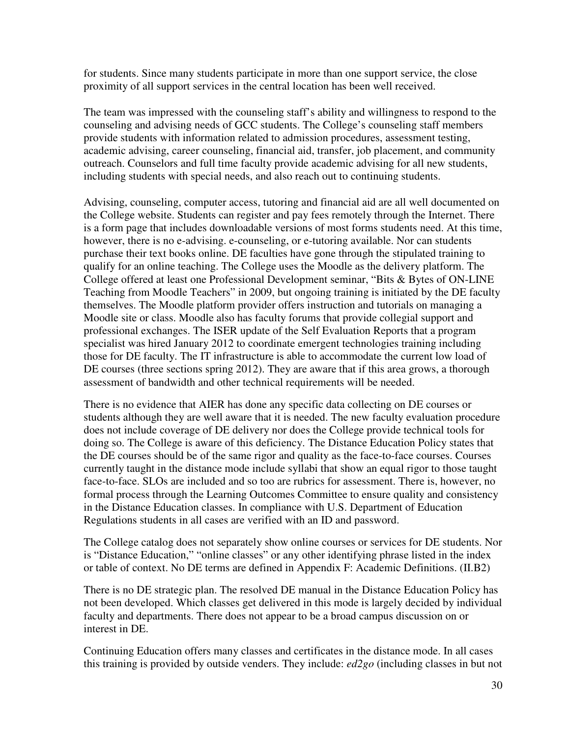for students. Since many students participate in more than one support service, the close proximity of all support services in the central location has been well received.

The team was impressed with the counseling staff's ability and willingness to respond to the counseling and advising needs of GCC students. The College's counseling staff members provide students with information related to admission procedures, assessment testing, academic advising, career counseling, financial aid, transfer, job placement, and community outreach. Counselors and full time faculty provide academic advising for all new students, including students with special needs, and also reach out to continuing students.

Advising, counseling, computer access, tutoring and financial aid are all well documented on the College website. Students can register and pay fees remotely through the Internet. There is a form page that includes downloadable versions of most forms students need. At this time, however, there is no e-advising. e-counseling, or e-tutoring available. Nor can students purchase their text books online. DE faculties have gone through the stipulated training to qualify for an online teaching. The College uses the Moodle as the delivery platform. The College offered at least one Professional Development seminar, "Bits & Bytes of ON-LINE Teaching from Moodle Teachers" in 2009, but ongoing training is initiated by the DE faculty themselves. The Moodle platform provider offers instruction and tutorials on managing a Moodle site or class. Moodle also has faculty forums that provide collegial support and professional exchanges. The ISER update of the Self Evaluation Reports that a program specialist was hired January 2012 to coordinate emergent technologies training including those for DE faculty. The IT infrastructure is able to accommodate the current low load of DE courses (three sections spring 2012). They are aware that if this area grows, a thorough assessment of bandwidth and other technical requirements will be needed.

There is no evidence that AIER has done any specific data collecting on DE courses or students although they are well aware that it is needed. The new faculty evaluation procedure does not include coverage of DE delivery nor does the College provide technical tools for doing so. The College is aware of this deficiency. The Distance Education Policy states that the DE courses should be of the same rigor and quality as the face-to-face courses. Courses currently taught in the distance mode include syllabi that show an equal rigor to those taught face-to-face. SLOs are included and so too are rubrics for assessment. There is, however, no formal process through the Learning Outcomes Committee to ensure quality and consistency in the Distance Education classes. In compliance with U.S. Department of Education Regulations students in all cases are verified with an ID and password.

The College catalog does not separately show online courses or services for DE students. Nor is "Distance Education," "online classes" or any other identifying phrase listed in the index or table of context. No DE terms are defined in Appendix F: Academic Definitions. (II.B2)

There is no DE strategic plan. The resolved DE manual in the Distance Education Policy has not been developed. Which classes get delivered in this mode is largely decided by individual faculty and departments. There does not appear to be a broad campus discussion on or interest in DE.

Continuing Education offers many classes and certificates in the distance mode. In all cases this training is provided by outside venders. They include: *ed2go* (including classes in but not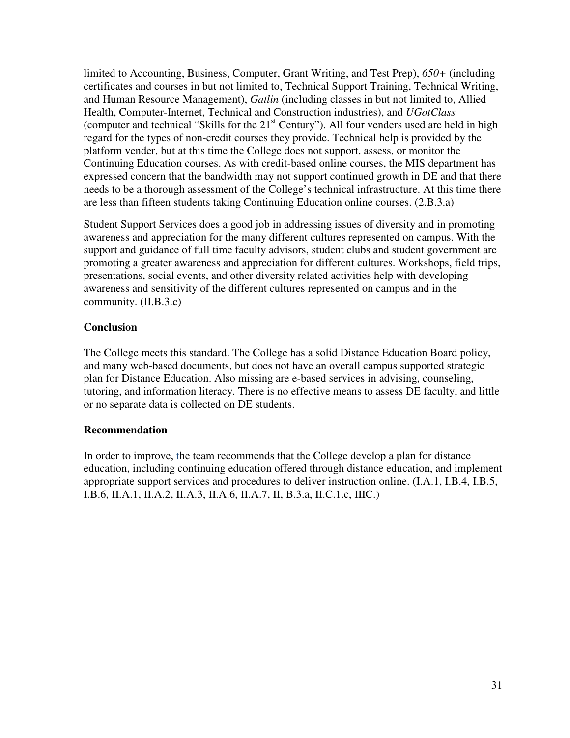limited to Accounting, Business, Computer, Grant Writing, and Test Prep), *650+* (including certificates and courses in but not limited to, Technical Support Training, Technical Writing, and Human Resource Management), *Gatlin* (including classes in but not limited to, Allied Health, Computer-Internet, Technical and Construction industries), and *UGotClass* (computer and technical "Skills for the  $21<sup>st</sup>$  Century"). All four venders used are held in high regard for the types of non-credit courses they provide. Technical help is provided by the platform vender, but at this time the College does not support, assess, or monitor the Continuing Education courses. As with credit-based online courses, the MIS department has expressed concern that the bandwidth may not support continued growth in DE and that there needs to be a thorough assessment of the College's technical infrastructure. At this time there are less than fifteen students taking Continuing Education online courses. (2.B.3.a)

Student Support Services does a good job in addressing issues of diversity and in promoting awareness and appreciation for the many different cultures represented on campus. With the support and guidance of full time faculty advisors, student clubs and student government are promoting a greater awareness and appreciation for different cultures. Workshops, field trips, presentations, social events, and other diversity related activities help with developing awareness and sensitivity of the different cultures represented on campus and in the community. (II.B.3.c)

## **Conclusion**

The College meets this standard. The College has a solid Distance Education Board policy, and many web-based documents, but does not have an overall campus supported strategic plan for Distance Education. Also missing are e-based services in advising, counseling, tutoring, and information literacy. There is no effective means to assess DE faculty, and little or no separate data is collected on DE students.

## **Recommendation**

In order to improve, the team recommends that the College develop a plan for distance education, including continuing education offered through distance education, and implement appropriate support services and procedures to deliver instruction online. (I.A.1, I.B.4, I.B.5, I.B.6, II.A.1, II.A.2, II.A.3, II.A.6, II.A.7, II, B.3.a, II.C.1.c, IIIC.)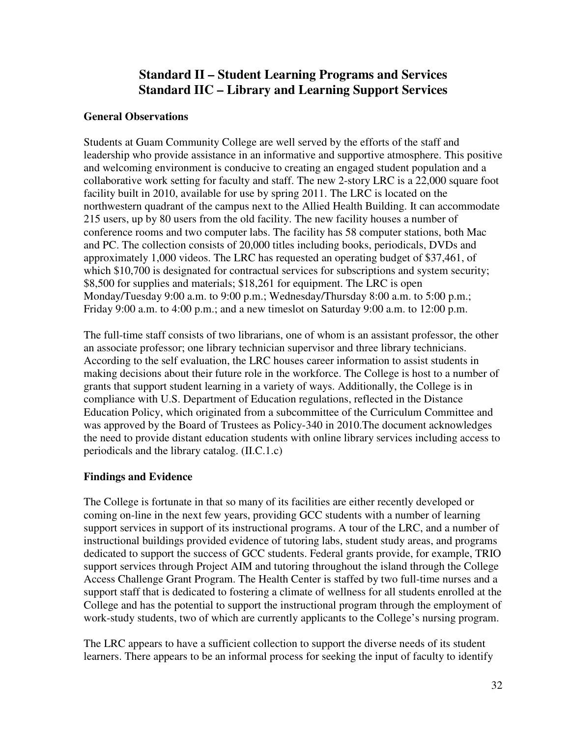# **Standard II – Student Learning Programs and Services Standard IIC – Library and Learning Support Services**

## **General Observations**

Students at Guam Community College are well served by the efforts of the staff and leadership who provide assistance in an informative and supportive atmosphere. This positive and welcoming environment is conducive to creating an engaged student population and a collaborative work setting for faculty and staff. The new 2-story LRC is a 22,000 square foot facility built in 2010, available for use by spring 2011. The LRC is located on the northwestern quadrant of the campus next to the Allied Health Building. It can accommodate 215 users, up by 80 users from the old facility. The new facility houses a number of conference rooms and two computer labs. The facility has 58 computer stations, both Mac and PC. The collection consists of 20,000 titles including books, periodicals, DVDs and approximately 1,000 videos. The LRC has requested an operating budget of \$37,461, of which \$10,700 is designated for contractual services for subscriptions and system security; \$8,500 for supplies and materials; \$18,261 for equipment. The LRC is open Monday/Tuesday 9:00 a.m. to 9:00 p.m.; Wednesday/Thursday 8:00 a.m. to 5:00 p.m.; Friday 9:00 a.m. to 4:00 p.m.; and a new timeslot on Saturday 9:00 a.m. to 12:00 p.m.

The full-time staff consists of two librarians, one of whom is an assistant professor, the other an associate professor; one library technician supervisor and three library technicians. According to the self evaluation, the LRC houses career information to assist students in making decisions about their future role in the workforce. The College is host to a number of grants that support student learning in a variety of ways. Additionally, the College is in compliance with U.S. Department of Education regulations, reflected in the Distance Education Policy, which originated from a subcommittee of the Curriculum Committee and was approved by the Board of Trustees as Policy-340 in 2010.The document acknowledges the need to provide distant education students with online library services including access to periodicals and the library catalog. (II.C.1.c)

## **Findings and Evidence**

The College is fortunate in that so many of its facilities are either recently developed or coming on-line in the next few years, providing GCC students with a number of learning support services in support of its instructional programs. A tour of the LRC, and a number of instructional buildings provided evidence of tutoring labs, student study areas, and programs dedicated to support the success of GCC students. Federal grants provide, for example, TRIO support services through Project AIM and tutoring throughout the island through the College Access Challenge Grant Program. The Health Center is staffed by two full-time nurses and a support staff that is dedicated to fostering a climate of wellness for all students enrolled at the College and has the potential to support the instructional program through the employment of work-study students, two of which are currently applicants to the College's nursing program.

The LRC appears to have a sufficient collection to support the diverse needs of its student learners. There appears to be an informal process for seeking the input of faculty to identify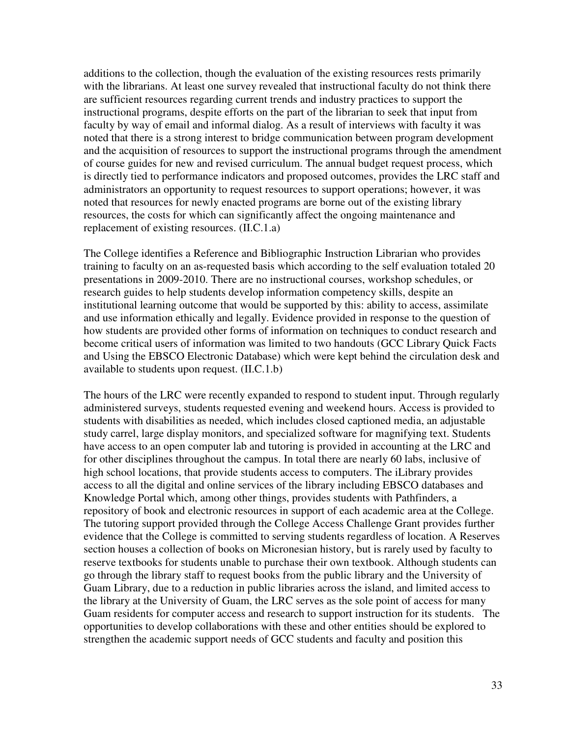additions to the collection, though the evaluation of the existing resources rests primarily with the librarians. At least one survey revealed that instructional faculty do not think there are sufficient resources regarding current trends and industry practices to support the instructional programs, despite efforts on the part of the librarian to seek that input from faculty by way of email and informal dialog. As a result of interviews with faculty it was noted that there is a strong interest to bridge communication between program development and the acquisition of resources to support the instructional programs through the amendment of course guides for new and revised curriculum. The annual budget request process, which is directly tied to performance indicators and proposed outcomes, provides the LRC staff and administrators an opportunity to request resources to support operations; however, it was noted that resources for newly enacted programs are borne out of the existing library resources, the costs for which can significantly affect the ongoing maintenance and replacement of existing resources. (II.C.1.a)

The College identifies a Reference and Bibliographic Instruction Librarian who provides training to faculty on an as-requested basis which according to the self evaluation totaled 20 presentations in 2009-2010. There are no instructional courses, workshop schedules, or research guides to help students develop information competency skills, despite an institutional learning outcome that would be supported by this: ability to access, assimilate and use information ethically and legally. Evidence provided in response to the question of how students are provided other forms of information on techniques to conduct research and become critical users of information was limited to two handouts (GCC Library Quick Facts and Using the EBSCO Electronic Database) which were kept behind the circulation desk and available to students upon request. (II.C.1.b)

The hours of the LRC were recently expanded to respond to student input. Through regularly administered surveys, students requested evening and weekend hours. Access is provided to students with disabilities as needed, which includes closed captioned media, an adjustable study carrel, large display monitors, and specialized software for magnifying text. Students have access to an open computer lab and tutoring is provided in accounting at the LRC and for other disciplines throughout the campus. In total there are nearly 60 labs, inclusive of high school locations, that provide students access to computers. The iLibrary provides access to all the digital and online services of the library including EBSCO databases and Knowledge Portal which, among other things, provides students with Pathfinders, a repository of book and electronic resources in support of each academic area at the College. The tutoring support provided through the College Access Challenge Grant provides further evidence that the College is committed to serving students regardless of location. A Reserves section houses a collection of books on Micronesian history, but is rarely used by faculty to reserve textbooks for students unable to purchase their own textbook. Although students can go through the library staff to request books from the public library and the University of Guam Library, due to a reduction in public libraries across the island, and limited access to the library at the University of Guam, the LRC serves as the sole point of access for many Guam residents for computer access and research to support instruction for its students. The opportunities to develop collaborations with these and other entities should be explored to strengthen the academic support needs of GCC students and faculty and position this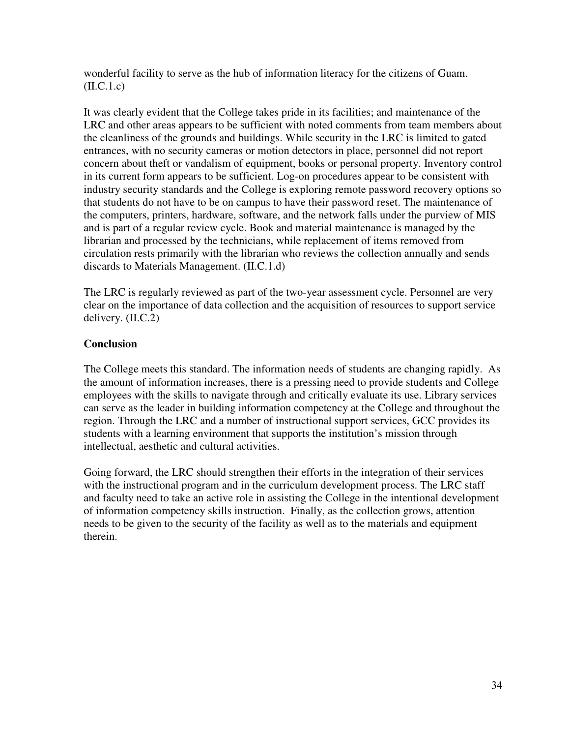wonderful facility to serve as the hub of information literacy for the citizens of Guam.  $(II.C.1.c)$ 

It was clearly evident that the College takes pride in its facilities; and maintenance of the LRC and other areas appears to be sufficient with noted comments from team members about the cleanliness of the grounds and buildings. While security in the LRC is limited to gated entrances, with no security cameras or motion detectors in place, personnel did not report concern about theft or vandalism of equipment, books or personal property. Inventory control in its current form appears to be sufficient. Log-on procedures appear to be consistent with industry security standards and the College is exploring remote password recovery options so that students do not have to be on campus to have their password reset. The maintenance of the computers, printers, hardware, software, and the network falls under the purview of MIS and is part of a regular review cycle. Book and material maintenance is managed by the librarian and processed by the technicians, while replacement of items removed from circulation rests primarily with the librarian who reviews the collection annually and sends discards to Materials Management. (II.C.1.d)

The LRC is regularly reviewed as part of the two-year assessment cycle. Personnel are very clear on the importance of data collection and the acquisition of resources to support service delivery. (II.C.2)

## **Conclusion**

The College meets this standard. The information needs of students are changing rapidly. As the amount of information increases, there is a pressing need to provide students and College employees with the skills to navigate through and critically evaluate its use. Library services can serve as the leader in building information competency at the College and throughout the region. Through the LRC and a number of instructional support services, GCC provides its students with a learning environment that supports the institution's mission through intellectual, aesthetic and cultural activities.

Going forward, the LRC should strengthen their efforts in the integration of their services with the instructional program and in the curriculum development process. The LRC staff and faculty need to take an active role in assisting the College in the intentional development of information competency skills instruction. Finally, as the collection grows, attention needs to be given to the security of the facility as well as to the materials and equipment therein.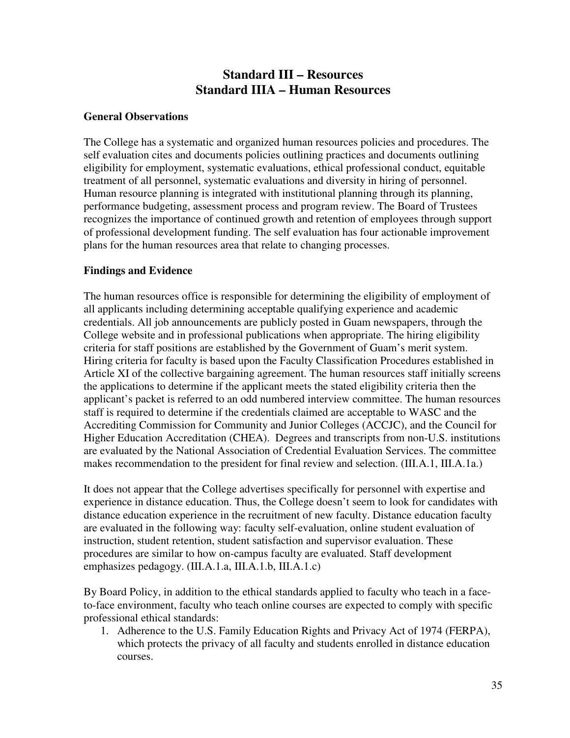# **Standard III – Resources Standard IIIA – Human Resources**

### **General Observations**

The College has a systematic and organized human resources policies and procedures. The self evaluation cites and documents policies outlining practices and documents outlining eligibility for employment, systematic evaluations, ethical professional conduct, equitable treatment of all personnel, systematic evaluations and diversity in hiring of personnel. Human resource planning is integrated with institutional planning through its planning, performance budgeting, assessment process and program review. The Board of Trustees recognizes the importance of continued growth and retention of employees through support of professional development funding. The self evaluation has four actionable improvement plans for the human resources area that relate to changing processes.

### **Findings and Evidence**

The human resources office is responsible for determining the eligibility of employment of all applicants including determining acceptable qualifying experience and academic credentials. All job announcements are publicly posted in Guam newspapers, through the College website and in professional publications when appropriate. The hiring eligibility criteria for staff positions are established by the Government of Guam's merit system. Hiring criteria for faculty is based upon the Faculty Classification Procedures established in Article XI of the collective bargaining agreement. The human resources staff initially screens the applications to determine if the applicant meets the stated eligibility criteria then the applicant's packet is referred to an odd numbered interview committee. The human resources staff is required to determine if the credentials claimed are acceptable to WASC and the Accrediting Commission for Community and Junior Colleges (ACCJC), and the Council for Higher Education Accreditation (CHEA). Degrees and transcripts from non-U.S. institutions are evaluated by the National Association of Credential Evaluation Services. The committee makes recommendation to the president for final review and selection. (III.A.1, III.A.1a.)

It does not appear that the College advertises specifically for personnel with expertise and experience in distance education. Thus, the College doesn't seem to look for candidates with distance education experience in the recruitment of new faculty. Distance education faculty are evaluated in the following way: faculty self-evaluation, online student evaluation of instruction, student retention, student satisfaction and supervisor evaluation. These procedures are similar to how on-campus faculty are evaluated. Staff development emphasizes pedagogy. (III.A.1.a, III.A.1.b, III.A.1.c)

By Board Policy, in addition to the ethical standards applied to faculty who teach in a faceto-face environment, faculty who teach online courses are expected to comply with specific professional ethical standards:

1. Adherence to the U.S. Family Education Rights and Privacy Act of 1974 (FERPA), which protects the privacy of all faculty and students enrolled in distance education courses.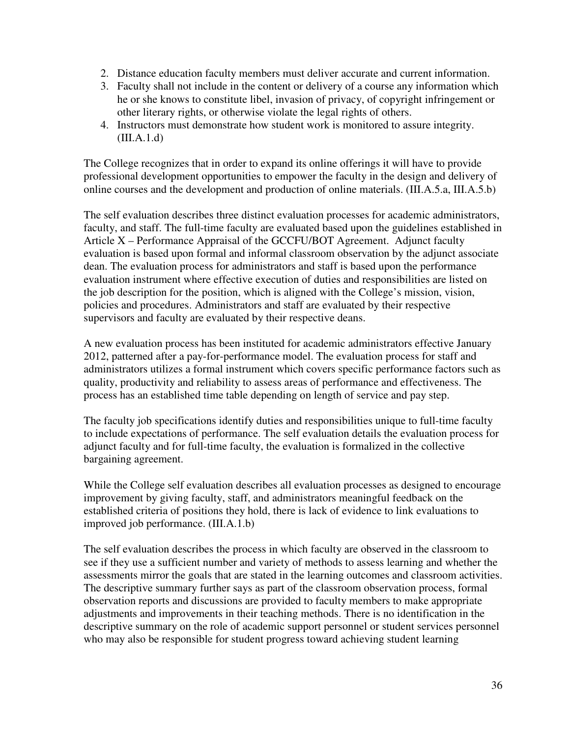- 2. Distance education faculty members must deliver accurate and current information.
- 3. Faculty shall not include in the content or delivery of a course any information which he or she knows to constitute libel, invasion of privacy, of copyright infringement or other literary rights, or otherwise violate the legal rights of others.
- 4. Instructors must demonstrate how student work is monitored to assure integrity. (III.A.1.d)

The College recognizes that in order to expand its online offerings it will have to provide professional development opportunities to empower the faculty in the design and delivery of online courses and the development and production of online materials. (III.A.5.a, III.A.5.b)

The self evaluation describes three distinct evaluation processes for academic administrators, faculty, and staff. The full-time faculty are evaluated based upon the guidelines established in Article X – Performance Appraisal of the GCCFU/BOT Agreement. Adjunct faculty evaluation is based upon formal and informal classroom observation by the adjunct associate dean. The evaluation process for administrators and staff is based upon the performance evaluation instrument where effective execution of duties and responsibilities are listed on the job description for the position, which is aligned with the College's mission, vision, policies and procedures. Administrators and staff are evaluated by their respective supervisors and faculty are evaluated by their respective deans.

A new evaluation process has been instituted for academic administrators effective January 2012, patterned after a pay-for-performance model. The evaluation process for staff and administrators utilizes a formal instrument which covers specific performance factors such as quality, productivity and reliability to assess areas of performance and effectiveness. The process has an established time table depending on length of service and pay step.

The faculty job specifications identify duties and responsibilities unique to full-time faculty to include expectations of performance. The self evaluation details the evaluation process for adjunct faculty and for full-time faculty, the evaluation is formalized in the collective bargaining agreement.

While the College self evaluation describes all evaluation processes as designed to encourage improvement by giving faculty, staff, and administrators meaningful feedback on the established criteria of positions they hold, there is lack of evidence to link evaluations to improved job performance. (III.A.1.b)

The self evaluation describes the process in which faculty are observed in the classroom to see if they use a sufficient number and variety of methods to assess learning and whether the assessments mirror the goals that are stated in the learning outcomes and classroom activities. The descriptive summary further says as part of the classroom observation process, formal observation reports and discussions are provided to faculty members to make appropriate adjustments and improvements in their teaching methods. There is no identification in the descriptive summary on the role of academic support personnel or student services personnel who may also be responsible for student progress toward achieving student learning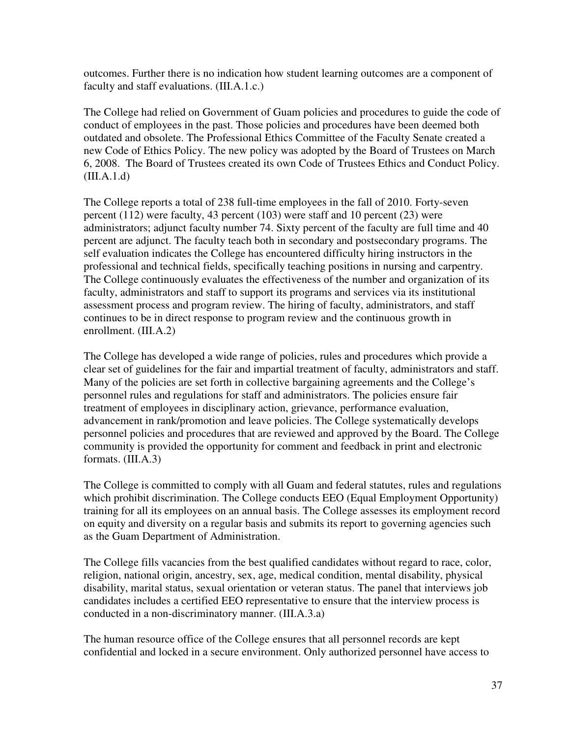outcomes. Further there is no indication how student learning outcomes are a component of faculty and staff evaluations. (III.A.1.c.)

The College had relied on Government of Guam policies and procedures to guide the code of conduct of employees in the past. Those policies and procedures have been deemed both outdated and obsolete. The Professional Ethics Committee of the Faculty Senate created a new Code of Ethics Policy. The new policy was adopted by the Board of Trustees on March 6, 2008. The Board of Trustees created its own Code of Trustees Ethics and Conduct Policy.  $(III.A.1.d)$ 

The College reports a total of 238 full-time employees in the fall of 2010. Forty-seven percent (112) were faculty, 43 percent (103) were staff and 10 percent (23) were administrators; adjunct faculty number 74. Sixty percent of the faculty are full time and 40 percent are adjunct. The faculty teach both in secondary and postsecondary programs. The self evaluation indicates the College has encountered difficulty hiring instructors in the professional and technical fields, specifically teaching positions in nursing and carpentry. The College continuously evaluates the effectiveness of the number and organization of its faculty, administrators and staff to support its programs and services via its institutional assessment process and program review. The hiring of faculty, administrators, and staff continues to be in direct response to program review and the continuous growth in enrollment. (III.A.2)

The College has developed a wide range of policies, rules and procedures which provide a clear set of guidelines for the fair and impartial treatment of faculty, administrators and staff. Many of the policies are set forth in collective bargaining agreements and the College's personnel rules and regulations for staff and administrators. The policies ensure fair treatment of employees in disciplinary action, grievance, performance evaluation, advancement in rank/promotion and leave policies. The College systematically develops personnel policies and procedures that are reviewed and approved by the Board. The College community is provided the opportunity for comment and feedback in print and electronic formats. (III.A.3)

The College is committed to comply with all Guam and federal statutes, rules and regulations which prohibit discrimination. The College conducts EEO (Equal Employment Opportunity) training for all its employees on an annual basis. The College assesses its employment record on equity and diversity on a regular basis and submits its report to governing agencies such as the Guam Department of Administration.

The College fills vacancies from the best qualified candidates without regard to race, color, religion, national origin, ancestry, sex, age, medical condition, mental disability, physical disability, marital status, sexual orientation or veteran status. The panel that interviews job candidates includes a certified EEO representative to ensure that the interview process is conducted in a non-discriminatory manner. (III.A.3.a)

The human resource office of the College ensures that all personnel records are kept confidential and locked in a secure environment. Only authorized personnel have access to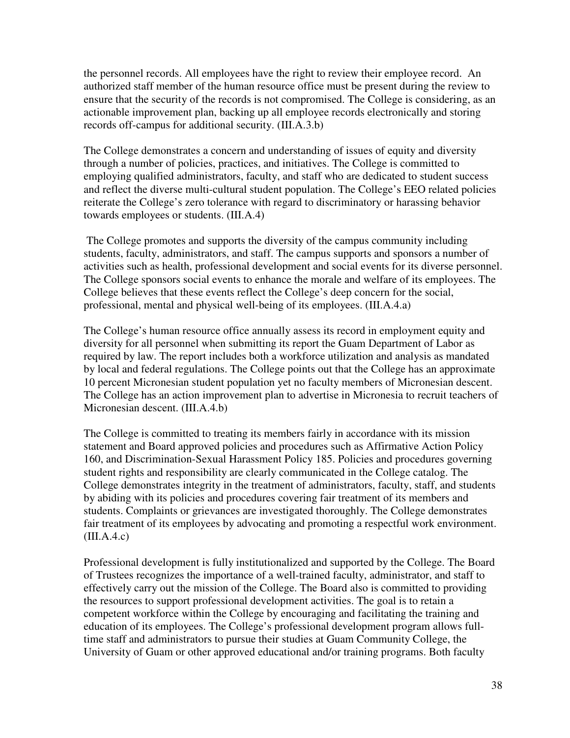the personnel records. All employees have the right to review their employee record. An authorized staff member of the human resource office must be present during the review to ensure that the security of the records is not compromised. The College is considering, as an actionable improvement plan, backing up all employee records electronically and storing records off-campus for additional security. (III.A.3.b)

The College demonstrates a concern and understanding of issues of equity and diversity through a number of policies, practices, and initiatives. The College is committed to employing qualified administrators, faculty, and staff who are dedicated to student success and reflect the diverse multi-cultural student population. The College's EEO related policies reiterate the College's zero tolerance with regard to discriminatory or harassing behavior towards employees or students. (III.A.4)

 The College promotes and supports the diversity of the campus community including students, faculty, administrators, and staff. The campus supports and sponsors a number of activities such as health, professional development and social events for its diverse personnel. The College sponsors social events to enhance the morale and welfare of its employees. The College believes that these events reflect the College's deep concern for the social, professional, mental and physical well-being of its employees. (III.A.4.a)

The College's human resource office annually assess its record in employment equity and diversity for all personnel when submitting its report the Guam Department of Labor as required by law. The report includes both a workforce utilization and analysis as mandated by local and federal regulations. The College points out that the College has an approximate 10 percent Micronesian student population yet no faculty members of Micronesian descent. The College has an action improvement plan to advertise in Micronesia to recruit teachers of Micronesian descent. (III.A.4.b)

The College is committed to treating its members fairly in accordance with its mission statement and Board approved policies and procedures such as Affirmative Action Policy 160, and Discrimination-Sexual Harassment Policy 185. Policies and procedures governing student rights and responsibility are clearly communicated in the College catalog. The College demonstrates integrity in the treatment of administrators, faculty, staff, and students by abiding with its policies and procedures covering fair treatment of its members and students. Complaints or grievances are investigated thoroughly. The College demonstrates fair treatment of its employees by advocating and promoting a respectful work environment.  $(III.A.4.c)$ 

Professional development is fully institutionalized and supported by the College. The Board of Trustees recognizes the importance of a well-trained faculty, administrator, and staff to effectively carry out the mission of the College. The Board also is committed to providing the resources to support professional development activities. The goal is to retain a competent workforce within the College by encouraging and facilitating the training and education of its employees. The College's professional development program allows fulltime staff and administrators to pursue their studies at Guam Community College, the University of Guam or other approved educational and/or training programs. Both faculty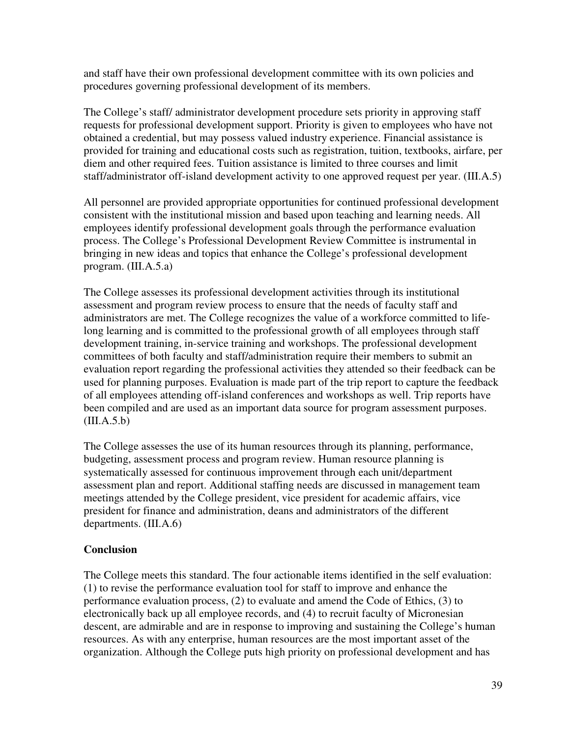and staff have their own professional development committee with its own policies and procedures governing professional development of its members.

The College's staff/ administrator development procedure sets priority in approving staff requests for professional development support. Priority is given to employees who have not obtained a credential, but may possess valued industry experience. Financial assistance is provided for training and educational costs such as registration, tuition, textbooks, airfare, per diem and other required fees. Tuition assistance is limited to three courses and limit staff/administrator off-island development activity to one approved request per year. (III.A.5)

All personnel are provided appropriate opportunities for continued professional development consistent with the institutional mission and based upon teaching and learning needs. All employees identify professional development goals through the performance evaluation process. The College's Professional Development Review Committee is instrumental in bringing in new ideas and topics that enhance the College's professional development program. (III.A.5.a)

The College assesses its professional development activities through its institutional assessment and program review process to ensure that the needs of faculty staff and administrators are met. The College recognizes the value of a workforce committed to lifelong learning and is committed to the professional growth of all employees through staff development training, in-service training and workshops. The professional development committees of both faculty and staff/administration require their members to submit an evaluation report regarding the professional activities they attended so their feedback can be used for planning purposes. Evaluation is made part of the trip report to capture the feedback of all employees attending off-island conferences and workshops as well. Trip reports have been compiled and are used as an important data source for program assessment purposes.  $(III.A.5.b)$ 

The College assesses the use of its human resources through its planning, performance, budgeting, assessment process and program review. Human resource planning is systematically assessed for continuous improvement through each unit/department assessment plan and report. Additional staffing needs are discussed in management team meetings attended by the College president, vice president for academic affairs, vice president for finance and administration, deans and administrators of the different departments. (III.A.6)

## **Conclusion**

The College meets this standard. The four actionable items identified in the self evaluation: (1) to revise the performance evaluation tool for staff to improve and enhance the performance evaluation process, (2) to evaluate and amend the Code of Ethics, (3) to electronically back up all employee records, and (4) to recruit faculty of Micronesian descent, are admirable and are in response to improving and sustaining the College's human resources. As with any enterprise, human resources are the most important asset of the organization. Although the College puts high priority on professional development and has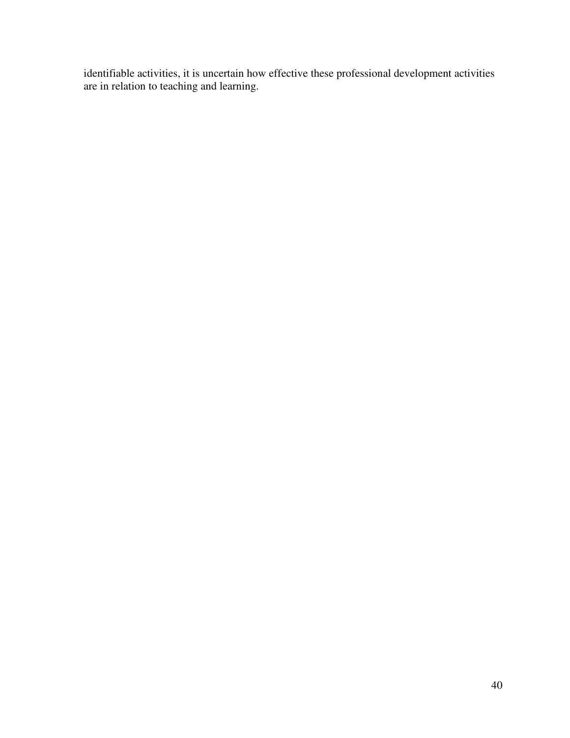identifiable activities, it is uncertain how effective these professional development activities are in relation to teaching and learning.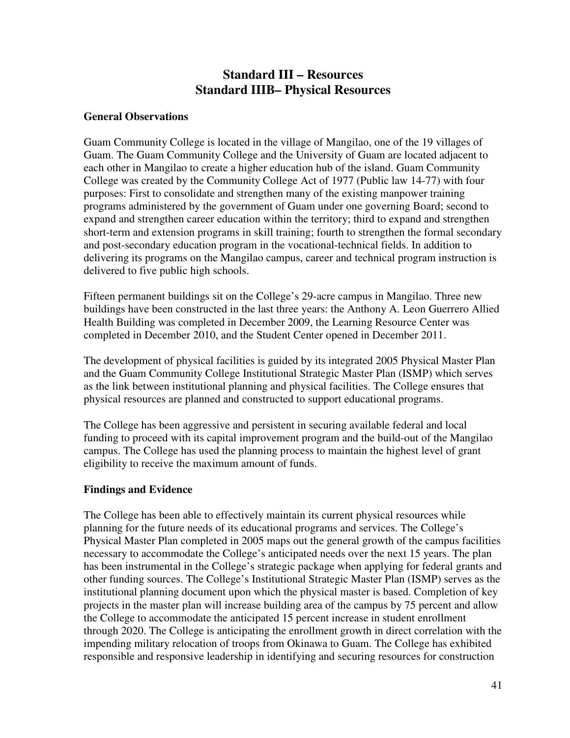# **Standard III – Resources Standard IIIB– Physical Resources**

#### **General Observations**

Guam Community College is located in the village of Mangilao, one of the 19 villages of Guam. The Guam Community College and the University of Guam are located adjacent to each other in Mangilao to create a higher education hub of the island. Guam Community College was created by the Community College Act of 1977 (Public law 14-77) with four purposes: First to consolidate and strengthen many of the existing manpower training programs administered by the government of Guam under one governing Board; second to expand and strengthen career education within the territory; third to expand and strengthen short-term and extension programs in skill training; fourth to strengthen the formal secondary and post-secondary education program in the vocational-technical fields. In addition to delivering its programs on the Mangilao campus, career and technical program instruction is delivered to five public high schools.

Fifteen permanent buildings sit on the College's 29-acre campus in Mangilao. Three new buildings have been constructed in the last three years: the Anthony A. Leon Guerrero Allied Health Building was completed in December 2009, the Learning Resource Center was completed in December 2010, and the Student Center opened in December 2011.

The development of physical facilities is guided by its integrated 2005 Physical Master Plan and the Guam Community College Institutional Strategic Master Plan (ISMP) which serves as the link between institutional planning and physical facilities. The College ensures that physical resources are planned and constructed to support educational programs.

The College has been aggressive and persistent in securing available federal and local funding to proceed with its capital improvement program and the build-out of the Mangilao campus. The College has used the planning process to maintain the highest level of grant eligibility to receive the maximum amount of funds.

## **Findings and Evidence**

The College has been able to effectively maintain its current physical resources while planning for the future needs of its educational programs and services. The College's Physical Master Plan completed in 2005 maps out the general growth of the campus facilities necessary to accommodate the College's anticipated needs over the next 15 years. The plan has been instrumental in the College's strategic package when applying for federal grants and other funding sources. The College's Institutional Strategic Master Plan (ISMP) serves as the institutional planning document upon which the physical master is based. Completion of key projects in the master plan will increase building area of the campus by 75 percent and allow the College to accommodate the anticipated 15 percent increase in student enrollment through 2020. The College is anticipating the enrollment growth in direct correlation with the impending military relocation of troops from Okinawa to Guam. The College has exhibited responsible and responsive leadership in identifying and securing resources for construction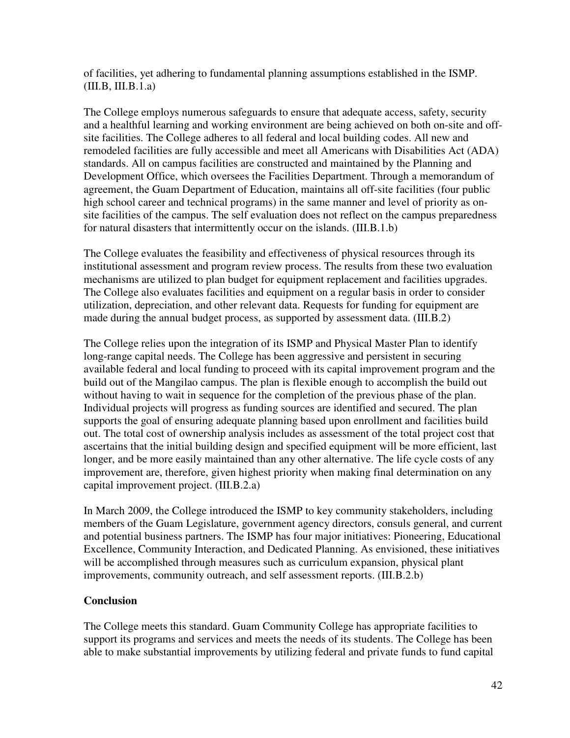of facilities, yet adhering to fundamental planning assumptions established in the ISMP. (III.B, III.B.1.a)

The College employs numerous safeguards to ensure that adequate access, safety, security and a healthful learning and working environment are being achieved on both on-site and offsite facilities. The College adheres to all federal and local building codes. All new and remodeled facilities are fully accessible and meet all Americans with Disabilities Act (ADA) standards. All on campus facilities are constructed and maintained by the Planning and Development Office, which oversees the Facilities Department. Through a memorandum of agreement, the Guam Department of Education, maintains all off-site facilities (four public high school career and technical programs) in the same manner and level of priority as onsite facilities of the campus. The self evaluation does not reflect on the campus preparedness for natural disasters that intermittently occur on the islands. (III.B.1.b)

The College evaluates the feasibility and effectiveness of physical resources through its institutional assessment and program review process. The results from these two evaluation mechanisms are utilized to plan budget for equipment replacement and facilities upgrades. The College also evaluates facilities and equipment on a regular basis in order to consider utilization, depreciation, and other relevant data. Requests for funding for equipment are made during the annual budget process, as supported by assessment data. (III.B.2)

The College relies upon the integration of its ISMP and Physical Master Plan to identify long-range capital needs. The College has been aggressive and persistent in securing available federal and local funding to proceed with its capital improvement program and the build out of the Mangilao campus. The plan is flexible enough to accomplish the build out without having to wait in sequence for the completion of the previous phase of the plan. Individual projects will progress as funding sources are identified and secured. The plan supports the goal of ensuring adequate planning based upon enrollment and facilities build out. The total cost of ownership analysis includes as assessment of the total project cost that ascertains that the initial building design and specified equipment will be more efficient, last longer, and be more easily maintained than any other alternative. The life cycle costs of any improvement are, therefore, given highest priority when making final determination on any capital improvement project. (III.B.2.a)

In March 2009, the College introduced the ISMP to key community stakeholders, including members of the Guam Legislature, government agency directors, consuls general, and current and potential business partners. The ISMP has four major initiatives: Pioneering, Educational Excellence, Community Interaction, and Dedicated Planning. As envisioned, these initiatives will be accomplished through measures such as curriculum expansion, physical plant improvements, community outreach, and self assessment reports. (III.B.2.b)

## **Conclusion**

The College meets this standard. Guam Community College has appropriate facilities to support its programs and services and meets the needs of its students. The College has been able to make substantial improvements by utilizing federal and private funds to fund capital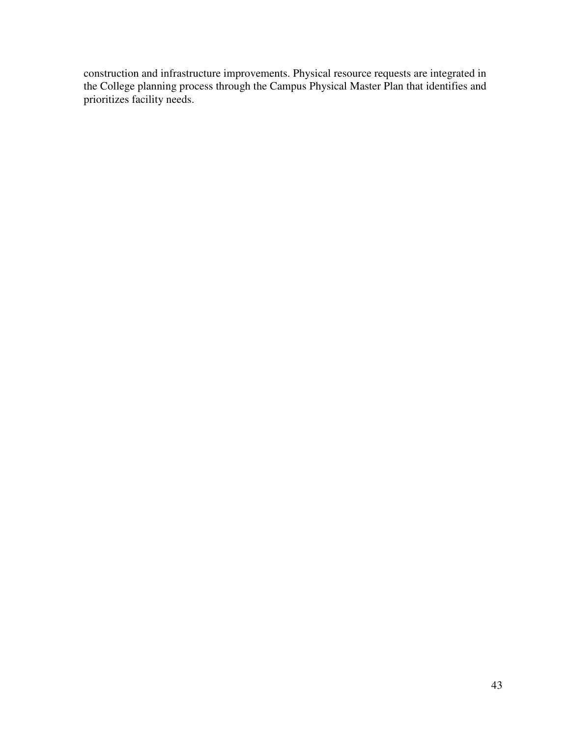construction and infrastructure improvements. Physical resource requests are integrated in the College planning process through the Campus Physical Master Plan that identifies and prioritizes facility needs.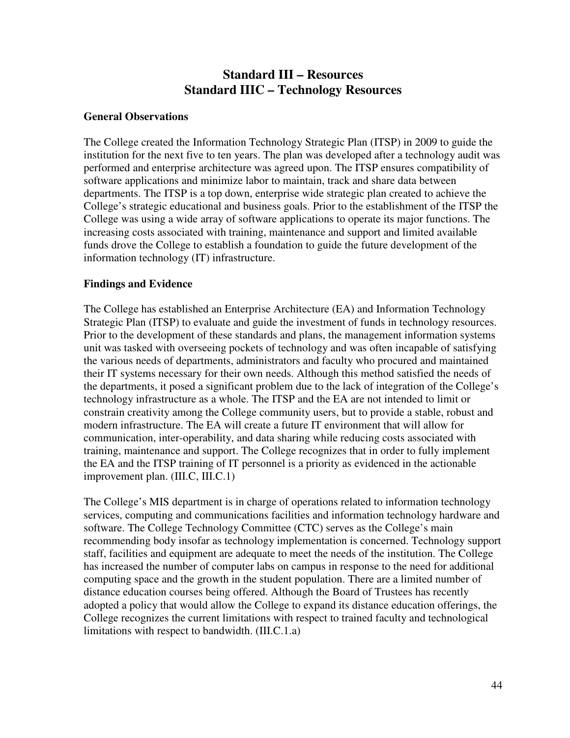# **Standard III – Resources Standard IIIC – Technology Resources**

### **General Observations**

The College created the Information Technology Strategic Plan (ITSP) in 2009 to guide the institution for the next five to ten years. The plan was developed after a technology audit was performed and enterprise architecture was agreed upon. The ITSP ensures compatibility of software applications and minimize labor to maintain, track and share data between departments. The ITSP is a top down, enterprise wide strategic plan created to achieve the College's strategic educational and business goals. Prior to the establishment of the ITSP the College was using a wide array of software applications to operate its major functions. The increasing costs associated with training, maintenance and support and limited available funds drove the College to establish a foundation to guide the future development of the information technology (IT) infrastructure.

### **Findings and Evidence**

The College has established an Enterprise Architecture (EA) and Information Technology Strategic Plan (ITSP) to evaluate and guide the investment of funds in technology resources. Prior to the development of these standards and plans, the management information systems unit was tasked with overseeing pockets of technology and was often incapable of satisfying the various needs of departments, administrators and faculty who procured and maintained their IT systems necessary for their own needs. Although this method satisfied the needs of the departments, it posed a significant problem due to the lack of integration of the College's technology infrastructure as a whole. The ITSP and the EA are not intended to limit or constrain creativity among the College community users, but to provide a stable, robust and modern infrastructure. The EA will create a future IT environment that will allow for communication, inter-operability, and data sharing while reducing costs associated with training, maintenance and support. The College recognizes that in order to fully implement the EA and the ITSP training of IT personnel is a priority as evidenced in the actionable improvement plan. (III.C, III.C.1)

The College's MIS department is in charge of operations related to information technology services, computing and communications facilities and information technology hardware and software. The College Technology Committee (CTC) serves as the College's main recommending body insofar as technology implementation is concerned. Technology support staff, facilities and equipment are adequate to meet the needs of the institution. The College has increased the number of computer labs on campus in response to the need for additional computing space and the growth in the student population. There are a limited number of distance education courses being offered. Although the Board of Trustees has recently adopted a policy that would allow the College to expand its distance education offerings, the College recognizes the current limitations with respect to trained faculty and technological limitations with respect to bandwidth. (III.C.1.a)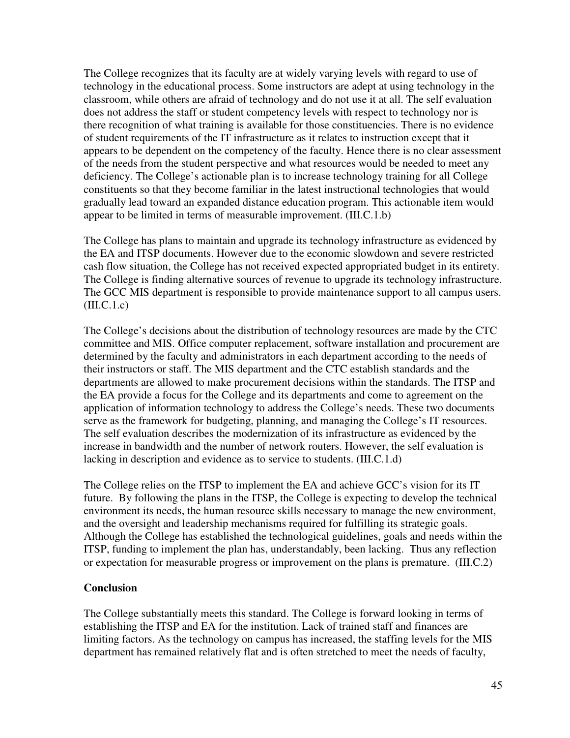The College recognizes that its faculty are at widely varying levels with regard to use of technology in the educational process. Some instructors are adept at using technology in the classroom, while others are afraid of technology and do not use it at all. The self evaluation does not address the staff or student competency levels with respect to technology nor is there recognition of what training is available for those constituencies. There is no evidence of student requirements of the IT infrastructure as it relates to instruction except that it appears to be dependent on the competency of the faculty. Hence there is no clear assessment of the needs from the student perspective and what resources would be needed to meet any deficiency. The College's actionable plan is to increase technology training for all College constituents so that they become familiar in the latest instructional technologies that would gradually lead toward an expanded distance education program. This actionable item would appear to be limited in terms of measurable improvement. (III.C.1.b)

The College has plans to maintain and upgrade its technology infrastructure as evidenced by the EA and ITSP documents. However due to the economic slowdown and severe restricted cash flow situation, the College has not received expected appropriated budget in its entirety. The College is finding alternative sources of revenue to upgrade its technology infrastructure. The GCC MIS department is responsible to provide maintenance support to all campus users.  $(III.C.1.c)$ 

The College's decisions about the distribution of technology resources are made by the CTC committee and MIS. Office computer replacement, software installation and procurement are determined by the faculty and administrators in each department according to the needs of their instructors or staff. The MIS department and the CTC establish standards and the departments are allowed to make procurement decisions within the standards. The ITSP and the EA provide a focus for the College and its departments and come to agreement on the application of information technology to address the College's needs. These two documents serve as the framework for budgeting, planning, and managing the College's IT resources. The self evaluation describes the modernization of its infrastructure as evidenced by the increase in bandwidth and the number of network routers. However, the self evaluation is lacking in description and evidence as to service to students. (III.C.1.d)

The College relies on the ITSP to implement the EA and achieve GCC's vision for its IT future. By following the plans in the ITSP, the College is expecting to develop the technical environment its needs, the human resource skills necessary to manage the new environment, and the oversight and leadership mechanisms required for fulfilling its strategic goals. Although the College has established the technological guidelines, goals and needs within the ITSP, funding to implement the plan has, understandably, been lacking. Thus any reflection or expectation for measurable progress or improvement on the plans is premature. (III.C.2)

#### **Conclusion**

The College substantially meets this standard. The College is forward looking in terms of establishing the ITSP and EA for the institution. Lack of trained staff and finances are limiting factors. As the technology on campus has increased, the staffing levels for the MIS department has remained relatively flat and is often stretched to meet the needs of faculty,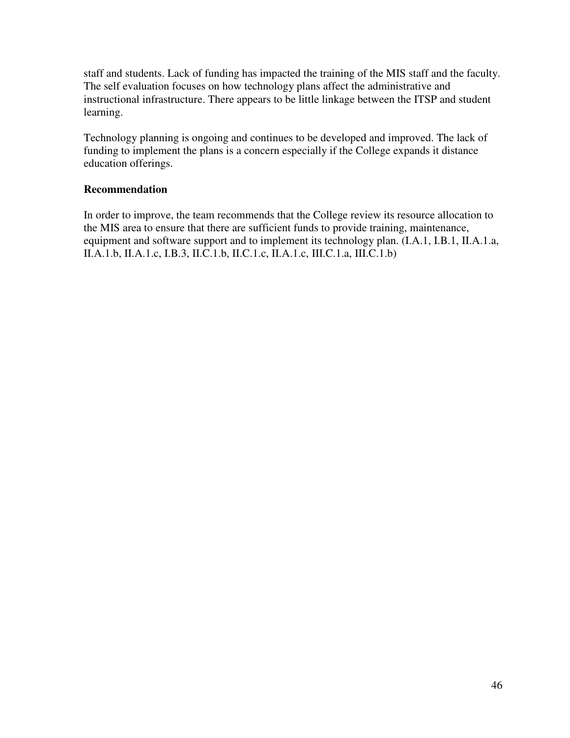staff and students. Lack of funding has impacted the training of the MIS staff and the faculty. The self evaluation focuses on how technology plans affect the administrative and instructional infrastructure. There appears to be little linkage between the ITSP and student learning.

Technology planning is ongoing and continues to be developed and improved. The lack of funding to implement the plans is a concern especially if the College expands it distance education offerings.

## **Recommendation**

In order to improve, the team recommends that the College review its resource allocation to the MIS area to ensure that there are sufficient funds to provide training, maintenance, equipment and software support and to implement its technology plan. (I.A.1, I.B.1, II.A.1.a, II.A.1.b, II.A.1.c, I.B.3, II.C.1.b, II.C.1.c, II.A.1.c, III.C.1.a, III.C.1.b)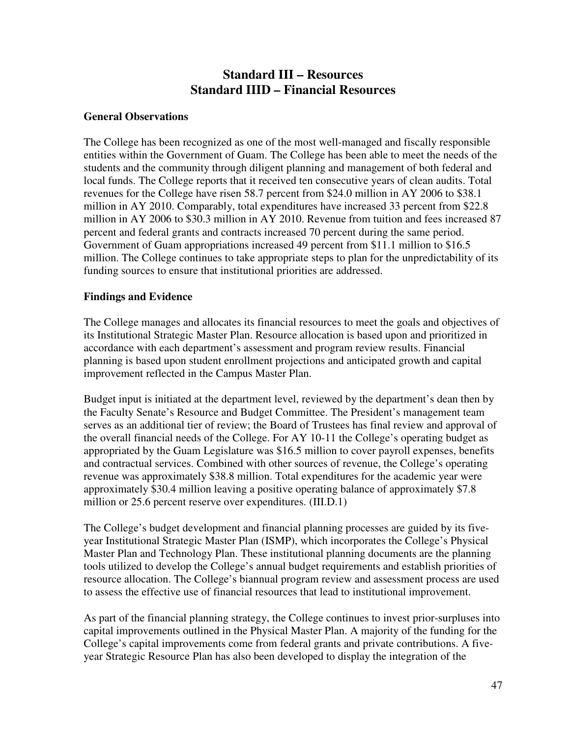# **Standard III – Resources Standard IIID – Financial Resources**

#### **General Observations**

The College has been recognized as one of the most well-managed and fiscally responsible entities within the Government of Guam. The College has been able to meet the needs of the students and the community through diligent planning and management of both federal and local funds. The College reports that it received ten consecutive years of clean audits. Total revenues for the College have risen 58.7 percent from \$24.0 million in AY 2006 to \$38.1 million in AY 2010. Comparably, total expenditures have increased 33 percent from \$22.8 million in AY 2006 to \$30.3 million in AY 2010. Revenue from tuition and fees increased 87 percent and federal grants and contracts increased 70 percent during the same period. Government of Guam appropriations increased 49 percent from \$11.1 million to \$16.5 million. The College continues to take appropriate steps to plan for the unpredictability of its funding sources to ensure that institutional priorities are addressed.

### **Findings and Evidence**

The College manages and allocates its financial resources to meet the goals and objectives of its Institutional Strategic Master Plan. Resource allocation is based upon and prioritized in accordance with each department's assessment and program review results. Financial planning is based upon student enrollment projections and anticipated growth and capital improvement reflected in the Campus Master Plan.

Budget input is initiated at the department level, reviewed by the department's dean then by the Faculty Senate's Resource and Budget Committee. The President's management team serves as an additional tier of review; the Board of Trustees has final review and approval of the overall financial needs of the College. For AY 10-11 the College's operating budget as appropriated by the Guam Legislature was \$16.5 million to cover payroll expenses, benefits and contractual services. Combined with other sources of revenue, the College's operating revenue was approximately \$38.8 million. Total expenditures for the academic year were approximately \$30.4 million leaving a positive operating balance of approximately \$7.8 million or 25.6 percent reserve over expenditures. (III.D.1)

The College's budget development and financial planning processes are guided by its fiveyear Institutional Strategic Master Plan (ISMP), which incorporates the College's Physical Master Plan and Technology Plan. These institutional planning documents are the planning tools utilized to develop the College's annual budget requirements and establish priorities of resource allocation. The College's biannual program review and assessment process are used to assess the effective use of financial resources that lead to institutional improvement.

As part of the financial planning strategy, the College continues to invest prior-surpluses into capital improvements outlined in the Physical Master Plan. A majority of the funding for the College's capital improvements come from federal grants and private contributions. A fiveyear Strategic Resource Plan has also been developed to display the integration of the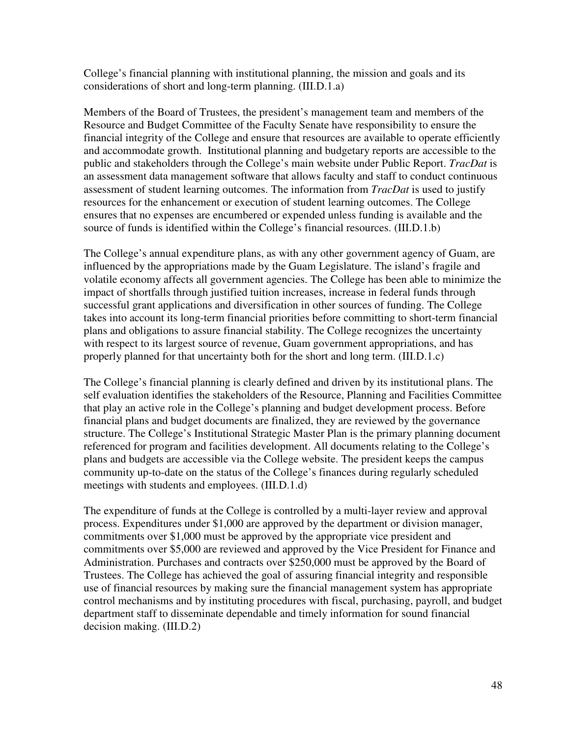College's financial planning with institutional planning, the mission and goals and its considerations of short and long-term planning. (III.D.1.a)

Members of the Board of Trustees, the president's management team and members of the Resource and Budget Committee of the Faculty Senate have responsibility to ensure the financial integrity of the College and ensure that resources are available to operate efficiently and accommodate growth. Institutional planning and budgetary reports are accessible to the public and stakeholders through the College's main website under Public Report. *TracDat* is an assessment data management software that allows faculty and staff to conduct continuous assessment of student learning outcomes. The information from *TracDat* is used to justify resources for the enhancement or execution of student learning outcomes. The College ensures that no expenses are encumbered or expended unless funding is available and the source of funds is identified within the College's financial resources. (III.D.1.b)

The College's annual expenditure plans, as with any other government agency of Guam, are influenced by the appropriations made by the Guam Legislature. The island's fragile and volatile economy affects all government agencies. The College has been able to minimize the impact of shortfalls through justified tuition increases, increase in federal funds through successful grant applications and diversification in other sources of funding. The College takes into account its long-term financial priorities before committing to short-term financial plans and obligations to assure financial stability. The College recognizes the uncertainty with respect to its largest source of revenue, Guam government appropriations, and has properly planned for that uncertainty both for the short and long term. (III.D.1.c)

The College's financial planning is clearly defined and driven by its institutional plans. The self evaluation identifies the stakeholders of the Resource, Planning and Facilities Committee that play an active role in the College's planning and budget development process. Before financial plans and budget documents are finalized, they are reviewed by the governance structure. The College's Institutional Strategic Master Plan is the primary planning document referenced for program and facilities development. All documents relating to the College's plans and budgets are accessible via the College website. The president keeps the campus community up-to-date on the status of the College's finances during regularly scheduled meetings with students and employees. (III.D.1.d)

The expenditure of funds at the College is controlled by a multi-layer review and approval process. Expenditures under \$1,000 are approved by the department or division manager, commitments over \$1,000 must be approved by the appropriate vice president and commitments over \$5,000 are reviewed and approved by the Vice President for Finance and Administration. Purchases and contracts over \$250,000 must be approved by the Board of Trustees. The College has achieved the goal of assuring financial integrity and responsible use of financial resources by making sure the financial management system has appropriate control mechanisms and by instituting procedures with fiscal, purchasing, payroll, and budget department staff to disseminate dependable and timely information for sound financial decision making. (III.D.2)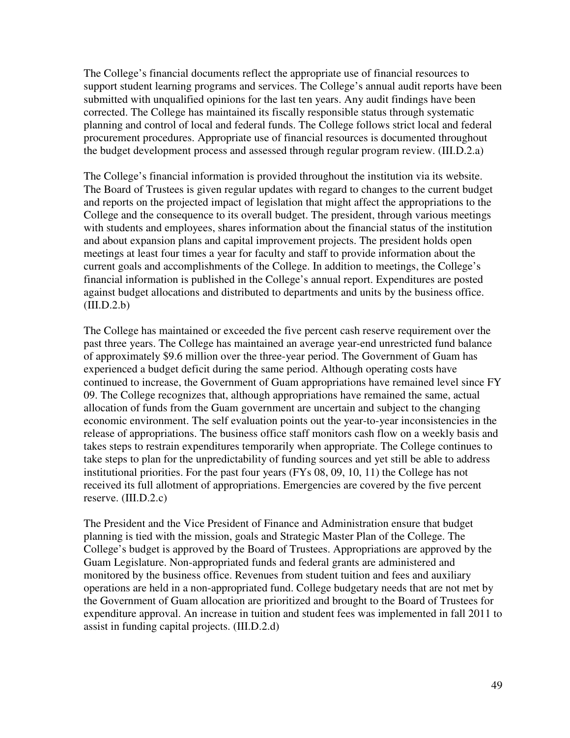The College's financial documents reflect the appropriate use of financial resources to support student learning programs and services. The College's annual audit reports have been submitted with unqualified opinions for the last ten years. Any audit findings have been corrected. The College has maintained its fiscally responsible status through systematic planning and control of local and federal funds. The College follows strict local and federal procurement procedures. Appropriate use of financial resources is documented throughout the budget development process and assessed through regular program review. (III.D.2.a)

The College's financial information is provided throughout the institution via its website. The Board of Trustees is given regular updates with regard to changes to the current budget and reports on the projected impact of legislation that might affect the appropriations to the College and the consequence to its overall budget. The president, through various meetings with students and employees, shares information about the financial status of the institution and about expansion plans and capital improvement projects. The president holds open meetings at least four times a year for faculty and staff to provide information about the current goals and accomplishments of the College. In addition to meetings, the College's financial information is published in the College's annual report. Expenditures are posted against budget allocations and distributed to departments and units by the business office.  $(III.D.2.b)$ 

The College has maintained or exceeded the five percent cash reserve requirement over the past three years. The College has maintained an average year-end unrestricted fund balance of approximately \$9.6 million over the three-year period. The Government of Guam has experienced a budget deficit during the same period. Although operating costs have continued to increase, the Government of Guam appropriations have remained level since FY 09. The College recognizes that, although appropriations have remained the same, actual allocation of funds from the Guam government are uncertain and subject to the changing economic environment. The self evaluation points out the year-to-year inconsistencies in the release of appropriations. The business office staff monitors cash flow on a weekly basis and takes steps to restrain expenditures temporarily when appropriate. The College continues to take steps to plan for the unpredictability of funding sources and yet still be able to address institutional priorities. For the past four years (FYs 08, 09, 10, 11) the College has not received its full allotment of appropriations. Emergencies are covered by the five percent reserve. (III.D.2.c)

The President and the Vice President of Finance and Administration ensure that budget planning is tied with the mission, goals and Strategic Master Plan of the College. The College's budget is approved by the Board of Trustees. Appropriations are approved by the Guam Legislature. Non-appropriated funds and federal grants are administered and monitored by the business office. Revenues from student tuition and fees and auxiliary operations are held in a non-appropriated fund. College budgetary needs that are not met by the Government of Guam allocation are prioritized and brought to the Board of Trustees for expenditure approval. An increase in tuition and student fees was implemented in fall 2011 to assist in funding capital projects. (III.D.2.d)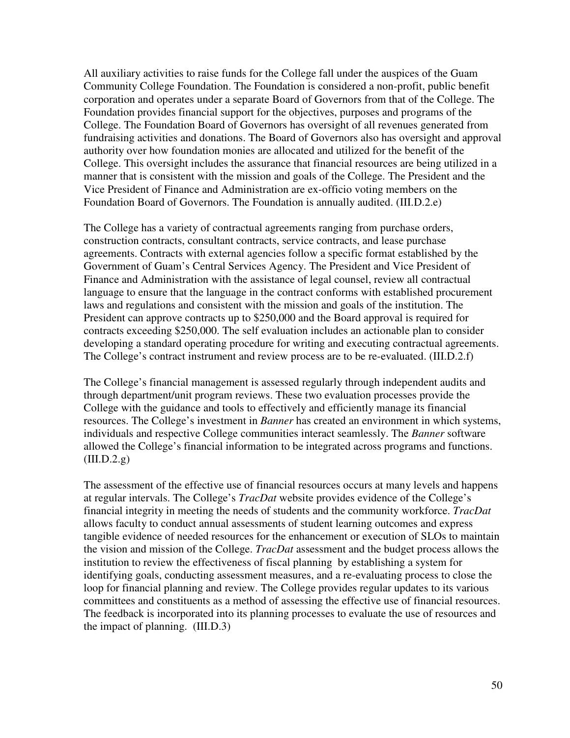All auxiliary activities to raise funds for the College fall under the auspices of the Guam Community College Foundation. The Foundation is considered a non-profit, public benefit corporation and operates under a separate Board of Governors from that of the College. The Foundation provides financial support for the objectives, purposes and programs of the College. The Foundation Board of Governors has oversight of all revenues generated from fundraising activities and donations. The Board of Governors also has oversight and approval authority over how foundation monies are allocated and utilized for the benefit of the College. This oversight includes the assurance that financial resources are being utilized in a manner that is consistent with the mission and goals of the College. The President and the Vice President of Finance and Administration are ex-officio voting members on the Foundation Board of Governors. The Foundation is annually audited. (III.D.2.e)

The College has a variety of contractual agreements ranging from purchase orders, construction contracts, consultant contracts, service contracts, and lease purchase agreements. Contracts with external agencies follow a specific format established by the Government of Guam's Central Services Agency. The President and Vice President of Finance and Administration with the assistance of legal counsel, review all contractual language to ensure that the language in the contract conforms with established procurement laws and regulations and consistent with the mission and goals of the institution. The President can approve contracts up to \$250,000 and the Board approval is required for contracts exceeding \$250,000. The self evaluation includes an actionable plan to consider developing a standard operating procedure for writing and executing contractual agreements. The College's contract instrument and review process are to be re-evaluated. (III.D.2.f)

The College's financial management is assessed regularly through independent audits and through department/unit program reviews. These two evaluation processes provide the College with the guidance and tools to effectively and efficiently manage its financial resources. The College's investment in *Banner* has created an environment in which systems, individuals and respective College communities interact seamlessly. The *Banner* software allowed the College's financial information to be integrated across programs and functions.  $(III.D.2.g)$ 

The assessment of the effective use of financial resources occurs at many levels and happens at regular intervals. The College's *TracDat* website provides evidence of the College's financial integrity in meeting the needs of students and the community workforce. *TracDat* allows faculty to conduct annual assessments of student learning outcomes and express tangible evidence of needed resources for the enhancement or execution of SLOs to maintain the vision and mission of the College. *TracDat* assessment and the budget process allows the institution to review the effectiveness of fiscal planning by establishing a system for identifying goals, conducting assessment measures, and a re-evaluating process to close the loop for financial planning and review. The College provides regular updates to its various committees and constituents as a method of assessing the effective use of financial resources. The feedback is incorporated into its planning processes to evaluate the use of resources and the impact of planning. (III.D.3)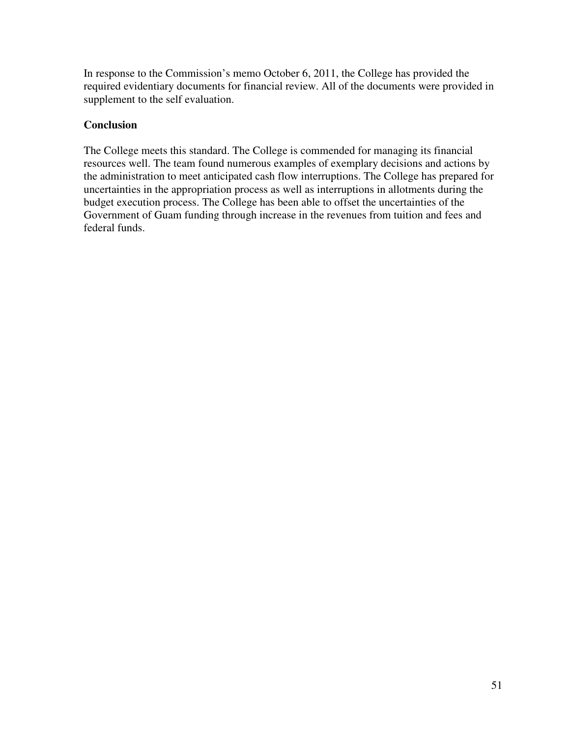In response to the Commission's memo October 6, 2011, the College has provided the required evidentiary documents for financial review. All of the documents were provided in supplement to the self evaluation.

## **Conclusion**

The College meets this standard. The College is commended for managing its financial resources well. The team found numerous examples of exemplary decisions and actions by the administration to meet anticipated cash flow interruptions. The College has prepared for uncertainties in the appropriation process as well as interruptions in allotments during the budget execution process. The College has been able to offset the uncertainties of the Government of Guam funding through increase in the revenues from tuition and fees and federal funds.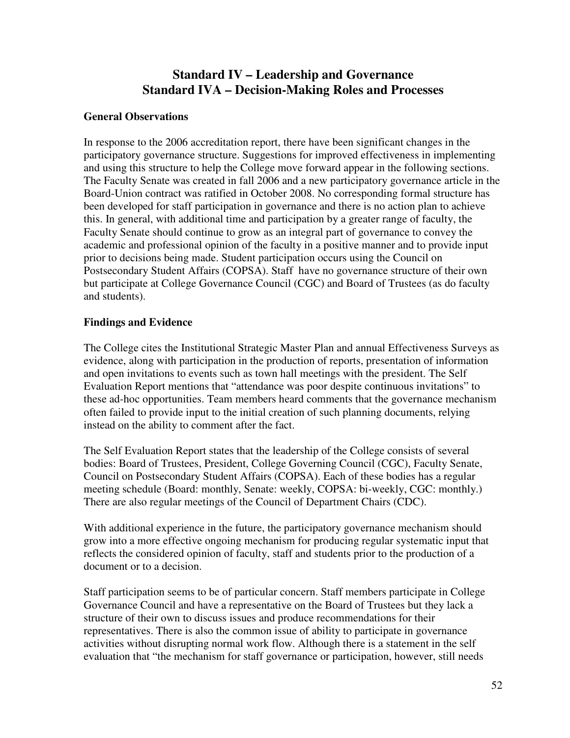# **Standard IV – Leadership and Governance Standard IVA – Decision-Making Roles and Processes**

### **General Observations**

In response to the 2006 accreditation report, there have been significant changes in the participatory governance structure. Suggestions for improved effectiveness in implementing and using this structure to help the College move forward appear in the following sections. The Faculty Senate was created in fall 2006 and a new participatory governance article in the Board-Union contract was ratified in October 2008. No corresponding formal structure has been developed for staff participation in governance and there is no action plan to achieve this. In general, with additional time and participation by a greater range of faculty, the Faculty Senate should continue to grow as an integral part of governance to convey the academic and professional opinion of the faculty in a positive manner and to provide input prior to decisions being made. Student participation occurs using the Council on Postsecondary Student Affairs (COPSA). Staff have no governance structure of their own but participate at College Governance Council (CGC) and Board of Trustees (as do faculty and students).

### **Findings and Evidence**

The College cites the Institutional Strategic Master Plan and annual Effectiveness Surveys as evidence, along with participation in the production of reports, presentation of information and open invitations to events such as town hall meetings with the president. The Self Evaluation Report mentions that "attendance was poor despite continuous invitations" to these ad-hoc opportunities. Team members heard comments that the governance mechanism often failed to provide input to the initial creation of such planning documents, relying instead on the ability to comment after the fact.

The Self Evaluation Report states that the leadership of the College consists of several bodies: Board of Trustees, President, College Governing Council (CGC), Faculty Senate, Council on Postsecondary Student Affairs (COPSA). Each of these bodies has a regular meeting schedule (Board: monthly, Senate: weekly, COPSA: bi-weekly, CGC: monthly.) There are also regular meetings of the Council of Department Chairs (CDC).

With additional experience in the future, the participatory governance mechanism should grow into a more effective ongoing mechanism for producing regular systematic input that reflects the considered opinion of faculty, staff and students prior to the production of a document or to a decision.

Staff participation seems to be of particular concern. Staff members participate in College Governance Council and have a representative on the Board of Trustees but they lack a structure of their own to discuss issues and produce recommendations for their representatives. There is also the common issue of ability to participate in governance activities without disrupting normal work flow. Although there is a statement in the self evaluation that "the mechanism for staff governance or participation, however, still needs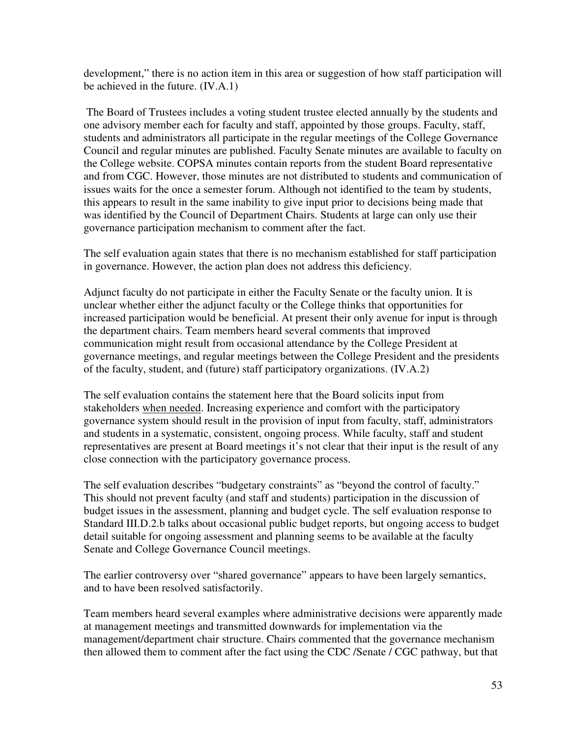development," there is no action item in this area or suggestion of how staff participation will be achieved in the future. (IV.A.1)

 The Board of Trustees includes a voting student trustee elected annually by the students and one advisory member each for faculty and staff, appointed by those groups. Faculty, staff, students and administrators all participate in the regular meetings of the College Governance Council and regular minutes are published. Faculty Senate minutes are available to faculty on the College website. COPSA minutes contain reports from the student Board representative and from CGC. However, those minutes are not distributed to students and communication of issues waits for the once a semester forum. Although not identified to the team by students, this appears to result in the same inability to give input prior to decisions being made that was identified by the Council of Department Chairs. Students at large can only use their governance participation mechanism to comment after the fact.

The self evaluation again states that there is no mechanism established for staff participation in governance. However, the action plan does not address this deficiency.

Adjunct faculty do not participate in either the Faculty Senate or the faculty union. It is unclear whether either the adjunct faculty or the College thinks that opportunities for increased participation would be beneficial. At present their only avenue for input is through the department chairs. Team members heard several comments that improved communication might result from occasional attendance by the College President at governance meetings, and regular meetings between the College President and the presidents of the faculty, student, and (future) staff participatory organizations. (IV.A.2)

The self evaluation contains the statement here that the Board solicits input from stakeholders when needed. Increasing experience and comfort with the participatory governance system should result in the provision of input from faculty, staff, administrators and students in a systematic, consistent, ongoing process. While faculty, staff and student representatives are present at Board meetings it's not clear that their input is the result of any close connection with the participatory governance process.

The self evaluation describes "budgetary constraints" as "beyond the control of faculty." This should not prevent faculty (and staff and students) participation in the discussion of budget issues in the assessment, planning and budget cycle. The self evaluation response to Standard III.D.2.b talks about occasional public budget reports, but ongoing access to budget detail suitable for ongoing assessment and planning seems to be available at the faculty Senate and College Governance Council meetings.

The earlier controversy over "shared governance" appears to have been largely semantics, and to have been resolved satisfactorily.

Team members heard several examples where administrative decisions were apparently made at management meetings and transmitted downwards for implementation via the management/department chair structure. Chairs commented that the governance mechanism then allowed them to comment after the fact using the CDC /Senate / CGC pathway, but that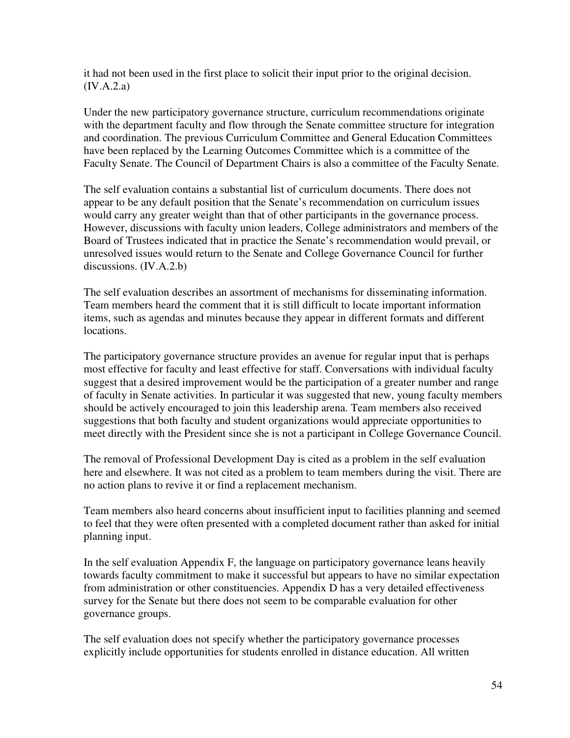it had not been used in the first place to solicit their input prior to the original decision. (IV.A.2.a)

Under the new participatory governance structure, curriculum recommendations originate with the department faculty and flow through the Senate committee structure for integration and coordination. The previous Curriculum Committee and General Education Committees have been replaced by the Learning Outcomes Committee which is a committee of the Faculty Senate. The Council of Department Chairs is also a committee of the Faculty Senate.

The self evaluation contains a substantial list of curriculum documents. There does not appear to be any default position that the Senate's recommendation on curriculum issues would carry any greater weight than that of other participants in the governance process. However, discussions with faculty union leaders, College administrators and members of the Board of Trustees indicated that in practice the Senate's recommendation would prevail, or unresolved issues would return to the Senate and College Governance Council for further discussions. (IV.A.2.b)

The self evaluation describes an assortment of mechanisms for disseminating information. Team members heard the comment that it is still difficult to locate important information items, such as agendas and minutes because they appear in different formats and different locations.

The participatory governance structure provides an avenue for regular input that is perhaps most effective for faculty and least effective for staff. Conversations with individual faculty suggest that a desired improvement would be the participation of a greater number and range of faculty in Senate activities. In particular it was suggested that new, young faculty members should be actively encouraged to join this leadership arena. Team members also received suggestions that both faculty and student organizations would appreciate opportunities to meet directly with the President since she is not a participant in College Governance Council.

The removal of Professional Development Day is cited as a problem in the self evaluation here and elsewhere. It was not cited as a problem to team members during the visit. There are no action plans to revive it or find a replacement mechanism.

Team members also heard concerns about insufficient input to facilities planning and seemed to feel that they were often presented with a completed document rather than asked for initial planning input.

In the self evaluation Appendix F, the language on participatory governance leans heavily towards faculty commitment to make it successful but appears to have no similar expectation from administration or other constituencies. Appendix D has a very detailed effectiveness survey for the Senate but there does not seem to be comparable evaluation for other governance groups.

The self evaluation does not specify whether the participatory governance processes explicitly include opportunities for students enrolled in distance education. All written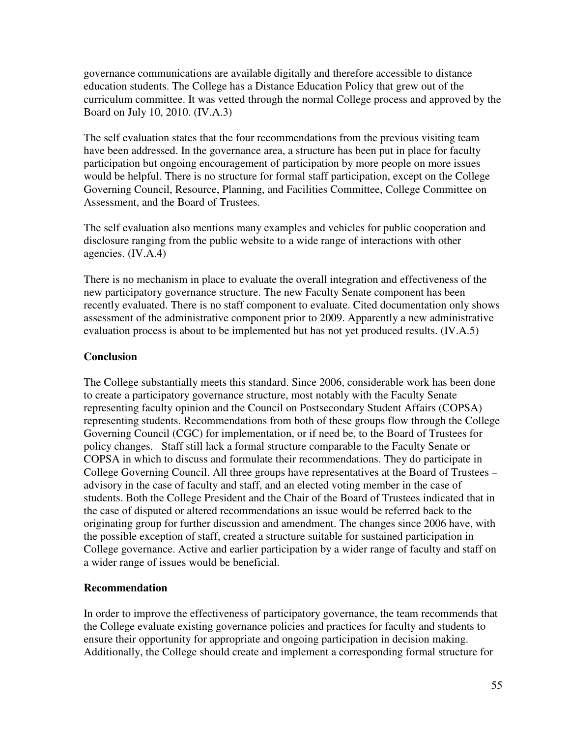governance communications are available digitally and therefore accessible to distance education students. The College has a Distance Education Policy that grew out of the curriculum committee. It was vetted through the normal College process and approved by the Board on July 10, 2010. (IV.A.3)

The self evaluation states that the four recommendations from the previous visiting team have been addressed. In the governance area, a structure has been put in place for faculty participation but ongoing encouragement of participation by more people on more issues would be helpful. There is no structure for formal staff participation, except on the College Governing Council, Resource, Planning, and Facilities Committee, College Committee on Assessment, and the Board of Trustees.

The self evaluation also mentions many examples and vehicles for public cooperation and disclosure ranging from the public website to a wide range of interactions with other agencies. (IV.A.4)

There is no mechanism in place to evaluate the overall integration and effectiveness of the new participatory governance structure. The new Faculty Senate component has been recently evaluated. There is no staff component to evaluate. Cited documentation only shows assessment of the administrative component prior to 2009. Apparently a new administrative evaluation process is about to be implemented but has not yet produced results. (IV.A.5)

## **Conclusion**

The College substantially meets this standard. Since 2006, considerable work has been done to create a participatory governance structure, most notably with the Faculty Senate representing faculty opinion and the Council on Postsecondary Student Affairs (COPSA) representing students. Recommendations from both of these groups flow through the College Governing Council (CGC) for implementation, or if need be, to the Board of Trustees for policy changes. Staff still lack a formal structure comparable to the Faculty Senate or COPSA in which to discuss and formulate their recommendations. They do participate in College Governing Council. All three groups have representatives at the Board of Trustees – advisory in the case of faculty and staff, and an elected voting member in the case of students. Both the College President and the Chair of the Board of Trustees indicated that in the case of disputed or altered recommendations an issue would be referred back to the originating group for further discussion and amendment. The changes since 2006 have, with the possible exception of staff, created a structure suitable for sustained participation in College governance. Active and earlier participation by a wider range of faculty and staff on a wider range of issues would be beneficial.

## **Recommendation**

In order to improve the effectiveness of participatory governance, the team recommends that the College evaluate existing governance policies and practices for faculty and students to ensure their opportunity for appropriate and ongoing participation in decision making. Additionally, the College should create and implement a corresponding formal structure for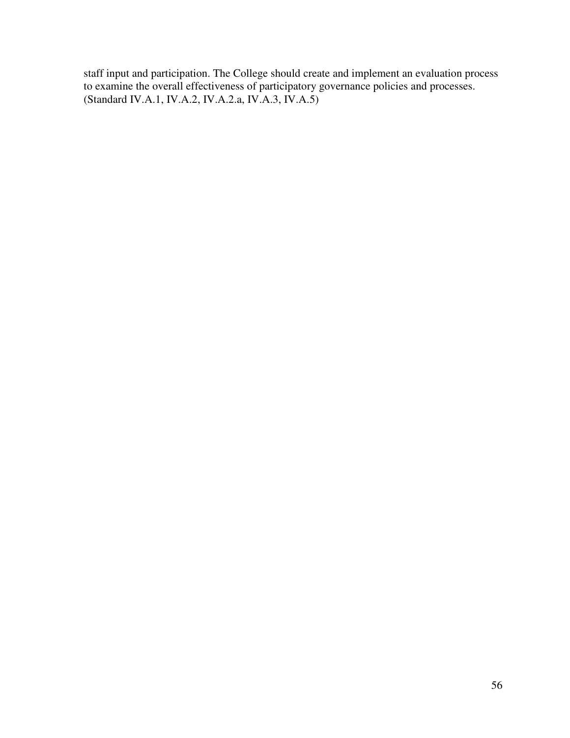staff input and participation. The College should create and implement an evaluation process to examine the overall effectiveness of participatory governance policies and processes. (Standard IV.A.1, IV.A.2, IV.A.2.a, IV.A.3, IV.A.5)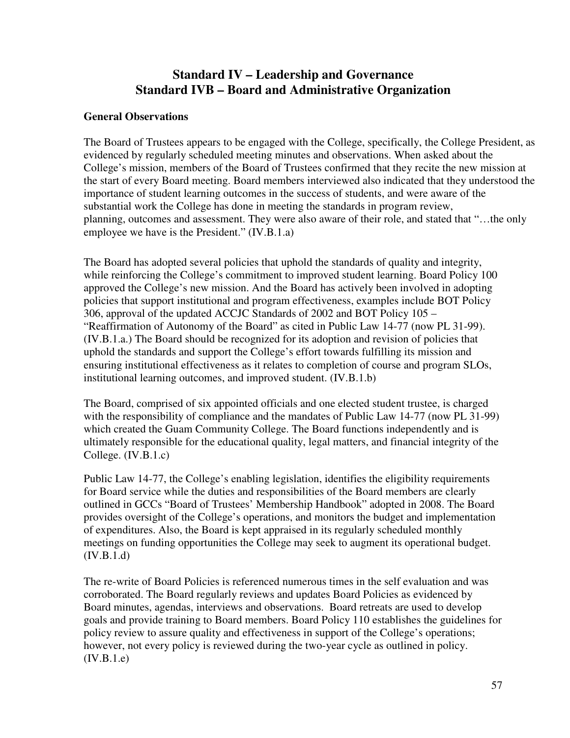# **Standard IV – Leadership and Governance Standard IVB – Board and Administrative Organization**

### **General Observations**

The Board of Trustees appears to be engaged with the College, specifically, the College President, as evidenced by regularly scheduled meeting minutes and observations. When asked about the College's mission, members of the Board of Trustees confirmed that they recite the new mission at the start of every Board meeting. Board members interviewed also indicated that they understood the importance of student learning outcomes in the success of students, and were aware of the substantial work the College has done in meeting the standards in program review, planning, outcomes and assessment. They were also aware of their role, and stated that "…the only employee we have is the President." (IV.B.1.a)

The Board has adopted several policies that uphold the standards of quality and integrity, while reinforcing the College's commitment to improved student learning. Board Policy 100 approved the College's new mission. And the Board has actively been involved in adopting policies that support institutional and program effectiveness, examples include BOT Policy 306, approval of the updated ACCJC Standards of 2002 and BOT Policy 105 – "Reaffirmation of Autonomy of the Board" as cited in Public Law 14-77 (now PL 31-99). (IV.B.1.a.) The Board should be recognized for its adoption and revision of policies that uphold the standards and support the College's effort towards fulfilling its mission and ensuring institutional effectiveness as it relates to completion of course and program SLOs, institutional learning outcomes, and improved student. (IV.B.1.b)

The Board, comprised of six appointed officials and one elected student trustee, is charged with the responsibility of compliance and the mandates of Public Law 14-77 (now PL 31-99) which created the Guam Community College. The Board functions independently and is ultimately responsible for the educational quality, legal matters, and financial integrity of the College. (IV.B.1.c)

Public Law 14-77, the College's enabling legislation, identifies the eligibility requirements for Board service while the duties and responsibilities of the Board members are clearly outlined in GCCs "Board of Trustees' Membership Handbook" adopted in 2008. The Board provides oversight of the College's operations, and monitors the budget and implementation of expenditures. Also, the Board is kept appraised in its regularly scheduled monthly meetings on funding opportunities the College may seek to augment its operational budget.  $(IV.B.1.d)$ 

The re-write of Board Policies is referenced numerous times in the self evaluation and was corroborated. The Board regularly reviews and updates Board Policies as evidenced by Board minutes, agendas, interviews and observations. Board retreats are used to develop goals and provide training to Board members. Board Policy 110 establishes the guidelines for policy review to assure quality and effectiveness in support of the College's operations; however, not every policy is reviewed during the two-year cycle as outlined in policy.  $(IV.B.1.e)$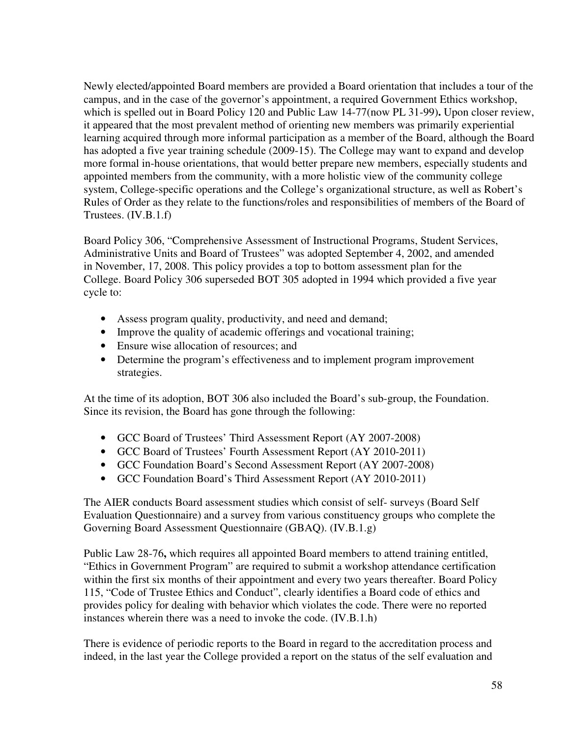Newly elected/appointed Board members are provided a Board orientation that includes a tour of the campus, and in the case of the governor's appointment, a required Government Ethics workshop, which is spelled out in Board Policy 120 and Public Law 14-77(now PL 31-99)**.** Upon closer review, it appeared that the most prevalent method of orienting new members was primarily experiential learning acquired through more informal participation as a member of the Board, although the Board has adopted a five year training schedule (2009-15). The College may want to expand and develop more formal in-house orientations, that would better prepare new members, especially students and appointed members from the community, with a more holistic view of the community college system, College-specific operations and the College's organizational structure, as well as Robert's Rules of Order as they relate to the functions/roles and responsibilities of members of the Board of Trustees. (IV.B.1.f)

Board Policy 306, "Comprehensive Assessment of Instructional Programs, Student Services, Administrative Units and Board of Trustees" was adopted September 4, 2002, and amended in November, 17, 2008. This policy provides a top to bottom assessment plan for the College. Board Policy 306 superseded BOT 305 adopted in 1994 which provided a five year cycle to:

- Assess program quality, productivity, and need and demand;
- Improve the quality of academic offerings and vocational training;
- Ensure wise allocation of resources; and
- Determine the program's effectiveness and to implement program improvement strategies.

At the time of its adoption, BOT 306 also included the Board's sub-group, the Foundation. Since its revision, the Board has gone through the following:

- GCC Board of Trustees' Third Assessment Report (AY 2007-2008)
- GCC Board of Trustees' Fourth Assessment Report (AY 2010-2011)
- GCC Foundation Board's Second Assessment Report (AY 2007-2008)
- GCC Foundation Board's Third Assessment Report (AY 2010-2011)

The AIER conducts Board assessment studies which consist of self- surveys (Board Self Evaluation Questionnaire) and a survey from various constituency groups who complete the Governing Board Assessment Questionnaire (GBAQ). (IV.B.1.g)

Public Law 28-76**,** which requires all appointed Board members to attend training entitled, "Ethics in Government Program" are required to submit a workshop attendance certification within the first six months of their appointment and every two years thereafter. Board Policy 115, "Code of Trustee Ethics and Conduct", clearly identifies a Board code of ethics and provides policy for dealing with behavior which violates the code. There were no reported instances wherein there was a need to invoke the code. (IV.B.1.h)

There is evidence of periodic reports to the Board in regard to the accreditation process and indeed, in the last year the College provided a report on the status of the self evaluation and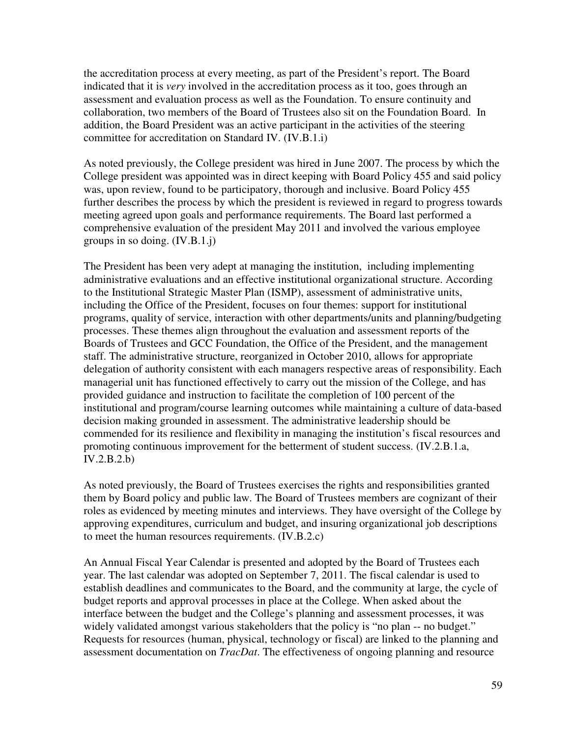the accreditation process at every meeting, as part of the President's report. The Board indicated that it is *very* involved in the accreditation process as it too, goes through an assessment and evaluation process as well as the Foundation. To ensure continuity and collaboration, two members of the Board of Trustees also sit on the Foundation Board. In addition, the Board President was an active participant in the activities of the steering committee for accreditation on Standard IV. (IV.B.1.i)

As noted previously, the College president was hired in June 2007. The process by which the College president was appointed was in direct keeping with Board Policy 455 and said policy was, upon review, found to be participatory, thorough and inclusive. Board Policy 455 further describes the process by which the president is reviewed in regard to progress towards meeting agreed upon goals and performance requirements. The Board last performed a comprehensive evaluation of the president May 2011 and involved the various employee groups in so doing. (IV.B.1.j)

The President has been very adept at managing the institution, including implementing administrative evaluations and an effective institutional organizational structure. According to the Institutional Strategic Master Plan (ISMP), assessment of administrative units, including the Office of the President, focuses on four themes: support for institutional programs, quality of service, interaction with other departments/units and planning/budgeting processes. These themes align throughout the evaluation and assessment reports of the Boards of Trustees and GCC Foundation, the Office of the President, and the management staff. The administrative structure, reorganized in October 2010, allows for appropriate delegation of authority consistent with each managers respective areas of responsibility. Each managerial unit has functioned effectively to carry out the mission of the College, and has provided guidance and instruction to facilitate the completion of 100 percent of the institutional and program/course learning outcomes while maintaining a culture of data-based decision making grounded in assessment. The administrative leadership should be commended for its resilience and flexibility in managing the institution's fiscal resources and promoting continuous improvement for the betterment of student success. (IV.2.B.1.a,  $IV.2.B.2.b)$ 

As noted previously, the Board of Trustees exercises the rights and responsibilities granted them by Board policy and public law. The Board of Trustees members are cognizant of their roles as evidenced by meeting minutes and interviews. They have oversight of the College by approving expenditures, curriculum and budget, and insuring organizational job descriptions to meet the human resources requirements. (IV.B.2.c)

An Annual Fiscal Year Calendar is presented and adopted by the Board of Trustees each year. The last calendar was adopted on September 7, 2011. The fiscal calendar is used to establish deadlines and communicates to the Board, and the community at large, the cycle of budget reports and approval processes in place at the College. When asked about the interface between the budget and the College's planning and assessment processes, it was widely validated amongst various stakeholders that the policy is "no plan -- no budget." Requests for resources (human, physical, technology or fiscal) are linked to the planning and assessment documentation on *TracDat*. The effectiveness of ongoing planning and resource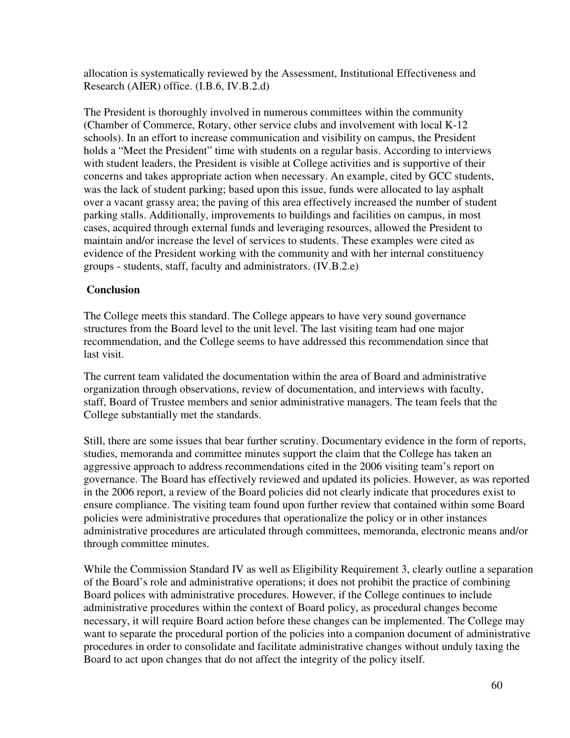allocation is systematically reviewed by the Assessment, Institutional Effectiveness and Research (AIER) office. (I.B.6, IV.B.2.d)

The President is thoroughly involved in numerous committees within the community (Chamber of Commerce, Rotary, other service clubs and involvement with local K-12 schools). In an effort to increase communication and visibility on campus, the President holds a "Meet the President" time with students on a regular basis. According to interviews with student leaders, the President is visible at College activities and is supportive of their concerns and takes appropriate action when necessary. An example, cited by GCC students, was the lack of student parking; based upon this issue, funds were allocated to lay asphalt over a vacant grassy area; the paving of this area effectively increased the number of student parking stalls. Additionally, improvements to buildings and facilities on campus, in most cases, acquired through external funds and leveraging resources, allowed the President to maintain and/or increase the level of services to students. These examples were cited as evidence of the President working with the community and with her internal constituency groups - students, staff, faculty and administrators. (IV.B.2.e)

## **Conclusion**

The College meets this standard. The College appears to have very sound governance structures from the Board level to the unit level. The last visiting team had one major recommendation, and the College seems to have addressed this recommendation since that last visit.

The current team validated the documentation within the area of Board and administrative organization through observations, review of documentation, and interviews with faculty, staff, Board of Trustee members and senior administrative managers. The team feels that the College substantially met the standards.

Still, there are some issues that bear further scrutiny. Documentary evidence in the form of reports, studies, memoranda and committee minutes support the claim that the College has taken an aggressive approach to address recommendations cited in the 2006 visiting team's report on governance. The Board has effectively reviewed and updated its policies. However, as was reported in the 2006 report, a review of the Board policies did not clearly indicate that procedures exist to ensure compliance. The visiting team found upon further review that contained within some Board policies were administrative procedures that operationalize the policy or in other instances administrative procedures are articulated through committees, memoranda, electronic means and/or through committee minutes.

While the Commission Standard IV as well as Eligibility Requirement 3, clearly outline a separation of the Board's role and administrative operations; it does not prohibit the practice of combining Board polices with administrative procedures. However, if the College continues to include administrative procedures within the context of Board policy, as procedural changes become necessary, it will require Board action before these changes can be implemented. The College may want to separate the procedural portion of the policies into a companion document of administrative procedures in order to consolidate and facilitate administrative changes without unduly taxing the Board to act upon changes that do not affect the integrity of the policy itself.